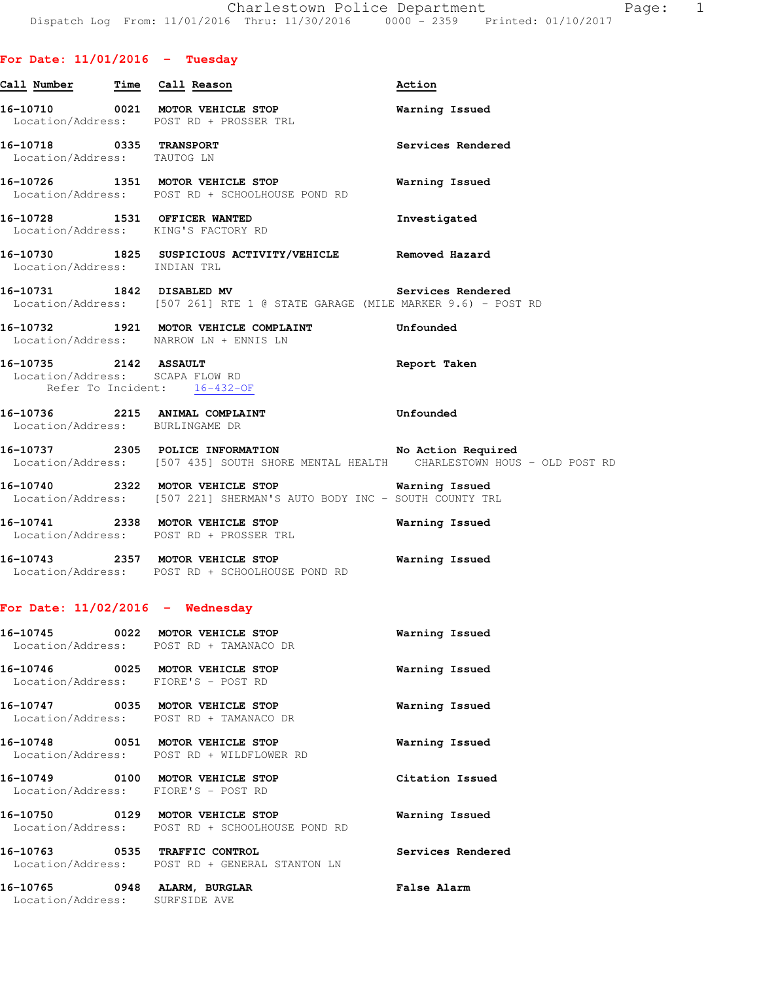| Call Number Time Call Reason                                   |                                                                                                                                             | Action                     |
|----------------------------------------------------------------|---------------------------------------------------------------------------------------------------------------------------------------------|----------------------------|
|                                                                | 16-10710 0021 MOTOR VEHICLE STOP<br>Location/Address: POST RD + PROSSER TRL                                                                 | Warning Issued             |
| 16-10718 0335 TRANSPORT<br>Location/Address: TAUTOG LN         |                                                                                                                                             | Services Rendered          |
|                                                                | 16-10726 1351 MOTOR VEHICLE STOP<br>Location/Address: POST RD + SCHOOLHOUSE POND RD                                                         | Warning Issued             |
|                                                                | 16-10728 1531 OFFICER WANTED<br>Location/Address: KING'S FACTORY RD                                                                         | Investigated               |
|                                                                | 16-10730 1825 SUSPICIOUS ACTIVITY/VEHICLE Removed Hazard Location/Address: INDIAN TRL                                                       |                            |
|                                                                | 16-10731 1842 DISABLED MV<br>Location/Address: [507 261] RTE 1 @ STATE GARAGE (MILE MARKER 9.6) - POST RD                                   | Services Rendered          |
|                                                                | 16-10732 1921 MOTOR VEHICLE COMPLAINT Unfounded<br>Location/Address: NARROW LN + ENNIS LN                                                   |                            |
|                                                                | 16-10735 2142 ASSAULT<br>Location/Address: SCAPA FLOW RD<br>Refer To Incident: 16-432-OF                                                    | Report Taken               |
| Location/Address: BURLINGAME DR                                | 16-10736 2215 ANIMAL COMPLAINT                                                                                                              | <b>Example 1</b> Unfounded |
|                                                                | 16-10737 2305 POLICE INFORMATION No Action Required<br>Location/Address: [507 435] SOUTH SHORE MENTAL HEALTH CHARLESTOWN HOUS - OLD POST RD |                            |
|                                                                | 16-10740 2322 MOTOR VEHICLE STOP<br>Location/Address: [507 221] SHERMAN'S AUTO BODY INC - SOUTH COUNTY TRL                                  | Warning Issued             |
|                                                                | 16-10741  2338  MOTOR VEHICLE STOP  Warning Issued<br>Location/Address: POST RD + PROSSER TRL                                               |                            |
|                                                                | 16-10743 2357 MOTOR VEHICLE STOP<br>Location/Address: POST RD + SCHOOLHOUSE POND RD                                                         | Warning Issued             |
| For Date: $11/02/2016$ - Wednesday                             |                                                                                                                                             |                            |
|                                                                | 16-10745 0022 MOTOR VEHICLE STOP<br>Location/Address: POST RD + TAMANACO DR                                                                 | Warning Issued             |
|                                                                | 16-10746 0025 MOTOR VEHICLE STOP<br>Location/Address: FIORE'S - POST RD                                                                     | Warning Issued             |
|                                                                | 16-10747 0035 MOTOR VEHICLE STOP<br>Location/Address: POST RD + TAMANACO DR                                                                 | Warning Issued             |
|                                                                | 16-10748 0051 MOTOR VEHICLE STOP<br>Location/Address: POST RD + WILDFLOWER RD                                                               | Warning Issued             |
|                                                                | 16-10749 0100 MOTOR VEHICLE STOP<br>Location/Address: FIORE'S - POST RD                                                                     | Citation Issued            |
|                                                                | 16-10750 0129 MOTOR VEHICLE STOP<br>Location/Address: POST RD + SCHOOLHOUSE POND RD                                                         | Warning Issued             |
|                                                                | 16-10763 0535 TRAFFIC CONTROL<br>Location/Address: POST RD + GENERAL STANTON LN                                                             | Services Rendered          |
| 16-10765 0948 ALARM, BURGLAR<br>Location/Address: SURFSIDE AVE |                                                                                                                                             | <b>False Alarm</b>         |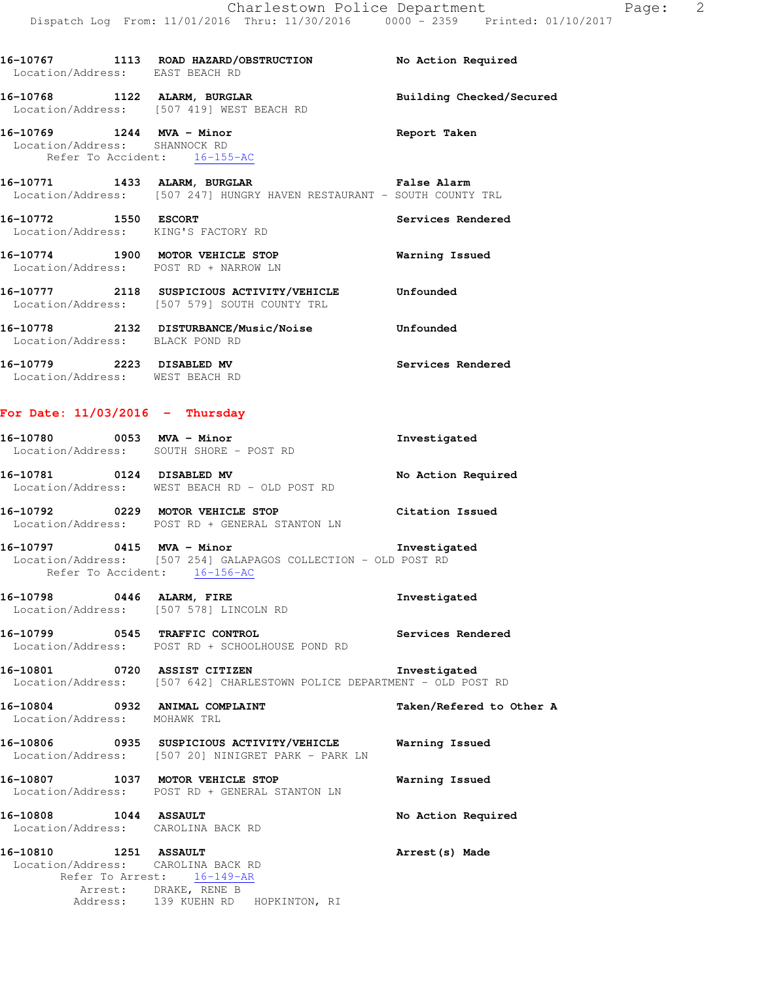**16-10767 1113 ROAD HAZARD/OBSTRUCTION No Action Required**  Location/Address: EAST BEACH RD

**16-10768 1122 ALARM, BURGLAR Building Checked/Secured**  Location/Address: [507 419] WEST BEACH RD

**16-10769 1244 MVA - Minor Report Taken**  Location/Address: SHANNOCK RD Refer To Accident: 16-155-AC

**16-10771 1433 ALARM, BURGLAR False Alarm**  Location/Address: [507 247] HUNGRY HAVEN RESTAURANT - SOUTH COUNTY TRL

**16-10772 1550 ESCORT Services Rendered**  Location/Address: KING'S FACTORY RD

**16-10774 1900 MOTOR VEHICLE STOP Warning Issued**  Location/Address: POST RD + NARROW LN **16-10777 2118 SUSPICIOUS ACTIVITY/VEHICLE Unfounded**  Location/Address: [507 579] SOUTH COUNTY TRL

**16-10778 2132 DISTURBANCE/Music/Noise Unfounded**  Location/Address: BLACK POND RD **16-10779 2223 DISABLED MV Services Rendered**  Location/Address: WEST BEACH RD

### **For Date: 11/03/2016 - Thursday**

| 16-10780                      | 0053 | MVA - Minor<br>Location/Address: SOUTH SHORE - POST RD | Investigated       |
|-------------------------------|------|--------------------------------------------------------|--------------------|
| 16-10781<br>Location/Address: | 0124 | DISABLED MV<br>WEST BEACH RD - OLD POST RD             | No Action Required |

**16-10792 0229 MOTOR VEHICLE STOP Citation Issued**  Location/Address: POST RD + GENERAL STANTON LN

**16-10797 0415 MVA - Minor Investigated**  Location/Address: [507 254] GALAPAGOS COLLECTION - OLD POST RD Refer To Accident: 16-156-AC

**16-10798 0446 ALARM, FIRE Investigated**  Location/Address: [507 578] LINCOLN RD

**16-10799 0545 TRAFFIC CONTROL Services Rendered**  Location/Address: POST RD + SCHOOLHOUSE POND RD

**16-10801 0720 ASSIST CITIZEN Investigated**  Location/Address: [507 642] CHARLESTOWN POLICE DEPARTMENT - OLD POST RD

**16-10804 0932 ANIMAL COMPLAINT Taken/Refered to Other A**  Location/Address: MOHAWK TRL **16-10806 0935 SUSPICIOUS ACTIVITY/VEHICLE Warning Issued** 

Location/Address: [507 20] NINIGRET PARK - PARK LN **16-10807 1037 MOTOR VEHICLE STOP Warning Issued**  Location/Address: POST RD + GENERAL STANTON LN

**16-10808 1044 ASSAULT No Action Required**  Location/Address: CAROLINA BACK RD

**16-10810 1251 ASSAULT Arrest(s) Made**  Location/Address: CAROLINA BACK RD Refer To Arrest: 16-149-AR Arrest: DRAKE, RENE B Address: 139 KUEHN RD HOPKINTON, RI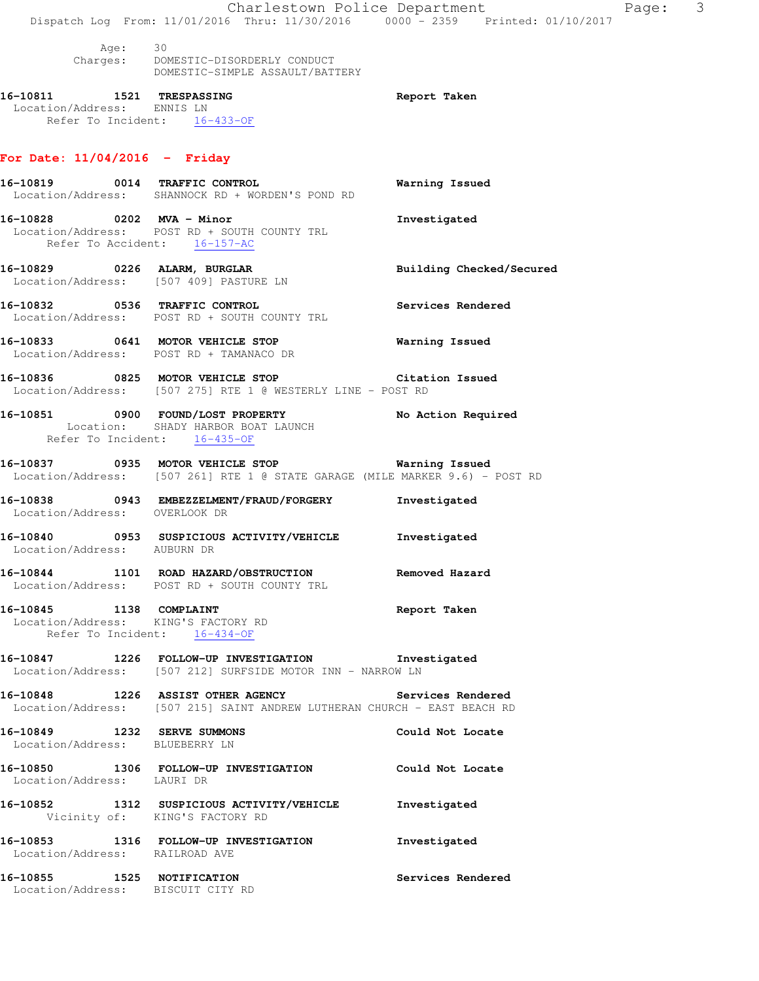|                                                                                                | Dispatch Log From: 11/01/2016 Thru: 11/30/2016 0000 - 2359 Printed: 01/10/2017                                        |                                 |  |
|------------------------------------------------------------------------------------------------|-----------------------------------------------------------------------------------------------------------------------|---------------------------------|--|
|                                                                                                | Age: 30<br>Charges: DOMESTIC-DISORDERLY CONDUCT<br>DOMESTIC-SIMPLE ASSAULT/BATTI<br>DOMESTIC-SIMPLE ASSAULT/BATTERY   |                                 |  |
| 16-10811 1521 TRESPASSING                                                                      |                                                                                                                       | Report Taken                    |  |
| Location/Address: ENNIS LN<br>Refer To Incident: 16-433-OF                                     |                                                                                                                       |                                 |  |
| For Date: $11/04/2016$ - Friday                                                                |                                                                                                                       |                                 |  |
|                                                                                                | 16-10819 0014 TRAFFIC CONTROL<br>Location/Address: SHANNOCK RD + WORDEN'S POND RD                                     | Warning Issued                  |  |
| 16-10828 0202 MVA - Minor<br>Refer To Accident: 16-157-AC                                      | Location/Address: POST RD + SOUTH COUNTY TRL                                                                          | Investigated                    |  |
| 16-10829 0226 ALARM, BURGLAR<br>Location/Address: [507 409] PASTURE LN                         |                                                                                                                       | <b>Building Checked/Secured</b> |  |
|                                                                                                | 16-10832 0536 TRAFFIC CONTROL<br>Location/Address: POST RD + SOUTH COUNTY TRL                                         | Services Rendered               |  |
|                                                                                                | 16-10833 0641 MOTOR VEHICLE STOP<br>Location/Address: POST RD + TAMANACO DR                                           | <b>Warning Issued</b>           |  |
|                                                                                                | 16-10836 		 0825 MOTOR VEHICLE STOP 		 Citation Issued<br>Location/Address: [507 275] RTE 1 @ WESTERLY LINE - POST RD |                                 |  |
| Refer To Incident: 16-435-OF                                                                   | 16-10851 0900 FOUND/LOST PROPERTY No Action Required<br>Location: SHADY HARBOR BOAT LAUNCH                            |                                 |  |
|                                                                                                | Location/Address: [507 261] RTE 1 @ STATE GARAGE (MILE MARKER 9.6) - POST RD                                          |                                 |  |
| Location/Address: OVERLOOK DR                                                                  | 16-10838 0943 EMBEZZELMENT/FRAUD/FORGERY Investigated                                                                 |                                 |  |
| Location/Address: AUBURN DR                                                                    | 16-10840 0953 SUSPICIOUS ACTIVITY/VEHICLE Investigated                                                                |                                 |  |
|                                                                                                | 16-10844 1101 ROAD HAZARD/OBSTRUCTION<br>Location/Address: POST RD + SOUTH COUNTY TRL                                 | Removed Hazard                  |  |
| 16-10845 1138 COMPLAINT<br>Location/Address: KING'S FACTORY RD<br>Refer To Incident: 16-434-OF |                                                                                                                       | Report Taken                    |  |
|                                                                                                | 16-10847 1226 FOLLOW-UP INVESTIGATION Threstigated<br>Location/Address: [507 212] SURFSIDE MOTOR INN - NARROW LN      |                                 |  |
|                                                                                                | 16-10848 1226 ASSIST OTHER AGENCY<br>Location/Address: [507 215] SAINT ANDREW LUTHERAN CHURCH - EAST BEACH RD         | Services Rendered               |  |
| 16-10849 1232 SERVE SUMMONS<br>Location/Address: BLUEBERRY LN                                  |                                                                                                                       | Could Not Locate                |  |
| Location/Address: LAURI DR                                                                     | 16-10850 1306 FOLLOW-UP INVESTIGATION Could Not Locate                                                                |                                 |  |
| Vicinity of: KING'S FACTORY RD                                                                 | 16-10852 1312 SUSPICIOUS ACTIVITY/VEHICLE                                                                             | Investigated                    |  |
| Location/Address: RAILROAD AVE                                                                 | 16-10853 1316 FOLLOW-UP INVESTIGATION                                                                                 | Investigated                    |  |
| 16-10855 1525 NOTIFICATION<br>Location/Address: BISCUIT CITY RD                                |                                                                                                                       | Services Rendered               |  |

Charlestown Police Department Page: 3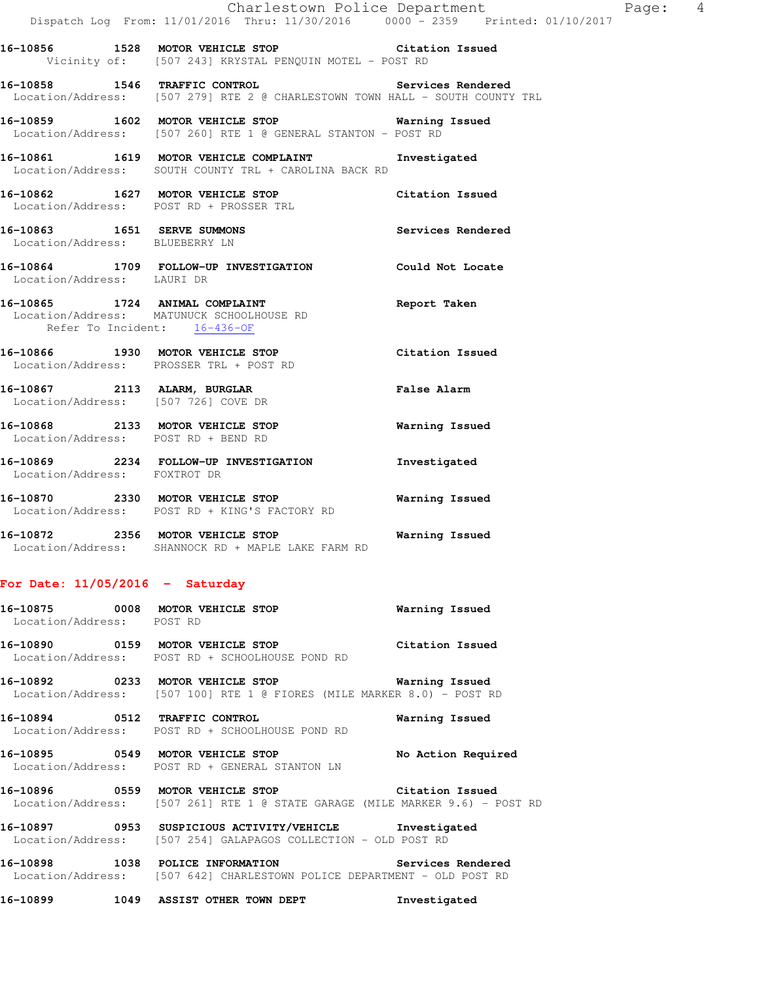|                                                               | Charlestown Police Department                                                                                      | Dispatch Log From: 11/01/2016 Thru: 11/30/2016 0000 - 2359 Printed: 01/10/2017 | Page: | 4 |
|---------------------------------------------------------------|--------------------------------------------------------------------------------------------------------------------|--------------------------------------------------------------------------------|-------|---|
|                                                               | 16-10856 1528 MOTOR VEHICLE STOP 6 Citation Issued<br>Vicinity of: [507 243] KRYSTAL PENQUIN MOTEL - POST RD       |                                                                                |       |   |
|                                                               | 16-10858 1546 TRAFFIC CONTROL<br>Location/Address: [507 279] RTE 2 @ CHARLESTOWN TOWN HALL - SOUTH COUNTY TRL      | Services Rendered                                                              |       |   |
|                                                               | 16-10859 1602 MOTOR VEHICLE STOP 5 Warning Issued<br>Location/Address: [507 260] RTE 1 @ GENERAL STANTON - POST RD |                                                                                |       |   |
|                                                               | 16-10861 1619 MOTOR VEHICLE COMPLAINT 1nvestigated<br>Location/Address: SOUTH COUNTY TRL + CAROLINA BACK RD        |                                                                                |       |   |
|                                                               | 16-10862 1627 MOTOR VEHICLE STOP<br>Location/Address: POST RD + PROSSER TRL                                        | Citation Issued                                                                |       |   |
| 16-10863 1651 SERVE SUMMONS<br>Location/Address: BLUEBERRY LN |                                                                                                                    | Services Rendered                                                              |       |   |

**16-10864 1709 FOLLOW-UP INVESTIGATION Could Not Locate**  Location/Address: LAURI DR **16-10865 1724 ANIMAL COMPLAINT Report Taken** 

 Location/Address: MATUNUCK SCHOOLHOUSE RD Refer To Incident: 16-436-OF

**16-10866 1930 MOTOR VEHICLE STOP Citation Issued**  Location/Address: PROSSER TRL + POST RD

**16-10867 2113 ALARM, BURGLAR False Alarm**  Location/Address: [507 726] COVE DR **16-10868 2133 MOTOR VEHICLE STOP Warning Issued** 

**16-10869 2234 FOLLOW-UP INVESTIGATION Investigated**  Location/Address: FOXTROT DR

**16-10870 2330 MOTOR VEHICLE STOP Warning Issued**  Location/Address: POST RD + KING'S FACTORY RD

**16-10872 2356 MOTOR VEHICLE STOP Warning Issued**  Location/Address: SHANNOCK RD + MAPLE LAKE FARM RD

#### **For Date: 11/05/2016 - Saturday**

Location/Address: POST RD + BEND RD

| 16-10875          | 0008 | MOTOR VEHICLE STOP | Warning Issued  |  |
|-------------------|------|--------------------|-----------------|--|
| Location/Address: |      | POST RD            |                 |  |
| 16-10890          | 0159 | MOTOR VEHICLE STOP | Citation Issued |  |

Location/Address: POST RD + SCHOOLHOUSE POND RD

**16-10892 0233 MOTOR VEHICLE STOP Warning Issued**  Location/Address: [507 100] RTE 1 @ FIORES (MILE MARKER 8.0) - POST RD

**16-10894 0512 TRAFFIC CONTROL Warning Issued**  Location/Address: POST RD + SCHOOLHOUSE POND RD

**16-10895 0549 MOTOR VEHICLE STOP No Action Required**  Location/Address: POST RD + GENERAL STANTON LN

**16-10896 0559 MOTOR VEHICLE STOP Citation Issued**  Location/Address: [507 261] RTE 1 @ STATE GARAGE (MILE MARKER 9.6) - POST RD

**16-10897 0953 SUSPICIOUS ACTIVITY/VEHICLE Investigated**  Location/Address: [507 254] GALAPAGOS COLLECTION - OLD POST RD

**16-10898 1038 POLICE INFORMATION Services Rendered**  Location/Address: [507 642] CHARLESTOWN POLICE DEPARTMENT - OLD POST RD

**16-10899 1049 ASSIST OTHER TOWN DEPT Investigated**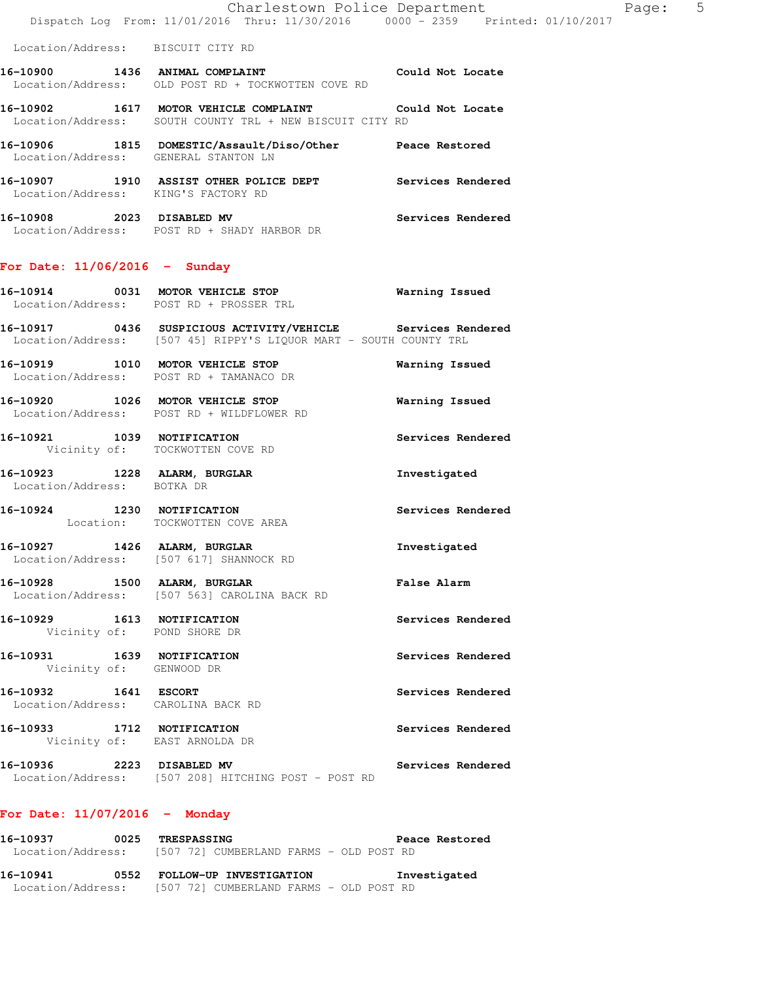Charlestown Police Department Fage: 5 Dispatch Log From: 11/01/2016 Thru: 11/30/2016 0000 - 2359 Printed: 01/10/2017

#### Location/Address: BISCUIT CITY RD

**16-10900 1436 ANIMAL COMPLAINT Could Not Locate**  Location/Address: OLD POST RD + TOCKWOTTEN COVE RD

**16-10902 1617 MOTOR VEHICLE COMPLAINT Could Not Locate**  Location/Address: SOUTH COUNTY TRL + NEW BISCUIT CITY RD

**16-10906 1815 DOMESTIC/Assault/Diso/Other Peace Restored**  Location/Address: GENERAL STANTON LN **16-10907 1910 ASSIST OTHER POLICE DEPT Services Rendered**  Location/Address: KING'S FACTORY RD **16-10908 2023 DISABLED MV Services Rendered** 

Location/Address: POST RD + SHADY HARBOR DR

## **For Date: 11/06/2016 - Sunday**

|                                                          | 16-10914 0031 MOTOR VEHICLE STOP Warning Issued<br>Location/Address: POST RD + PROSSER TRL                                       |                    |
|----------------------------------------------------------|----------------------------------------------------------------------------------------------------------------------------------|--------------------|
|                                                          | 16-10917 0436 SUSPICIOUS ACTIVITY/VEHICLE Services Rendered<br>Location/Address: [507 45] RIPPY'S LIQUOR MART - SOUTH COUNTY TRL |                    |
|                                                          | 16-10919 1010 MOTOR VEHICLE STOP<br>Location/Address: POST RD + TAMANACO DR                                                      | Warning Issued     |
|                                                          | 16-10920 1026 MOTOR VEHICLE STOP<br>Location/Address: POST RD + WILDFLOWER RD                                                    | Warning Issued     |
|                                                          | 16-10921 1039 NOTIFICATION<br>Vicinity of: TOCKWOTTEN COVE RD                                                                    | Services Rendered  |
|                                                          | 16-10923 1228 ALARM, BURGLAR<br>Location/Address: BOTKA DR                                                                       | Investigated       |
|                                                          | 16-10924 1230 NOTIFICATION<br>Location: TOCKWOTTEN COVE AREA                                                                     | Services Rendered  |
|                                                          | 16-10927 1426 ALARM, BURGLAR<br>Location/Address: [507 617] SHANNOCK RD                                                          | Investigated       |
|                                                          | 16-10928 1500 ALARM, BURGLAR<br>Location/Address: [507 563] CAROLINA BACK RD                                                     | <b>False Alarm</b> |
| 16-10929 1613 NOTIFICATION<br>Vicinity of: POND SHORE DR |                                                                                                                                  | Services Rendered  |
| 16-10931 1639 NOTIFICATION<br>Vicinity of: GENWOOD DR    |                                                                                                                                  | Services Rendered  |
| 16-10932 1641 ESCORT                                     | Location/Address: CAROLINA BACK RD                                                                                               | Services Rendered  |
|                                                          | 16-10933 1712 NOTIFICATION<br>Vicinity of: EAST ARNOLDA DR                                                                       | Services Rendered  |
| 16-10936 2223 DISABLED MV                                |                                                                                                                                  | Services Rendered  |

# Location/Address: [507 208] HITCHING POST - POST RD

#### **For Date: 11/07/2016 - Monday**

**16-10937 0025 TRESPASSING Peace Restored**  Location/Address: [507 72] CUMBERLAND FARMS - OLD POST RD **16-10941 0552 FOLLOW-UP INVESTIGATION Investigated**  Location/Address: [507 72] CUMBERLAND FARMS - OLD POST RD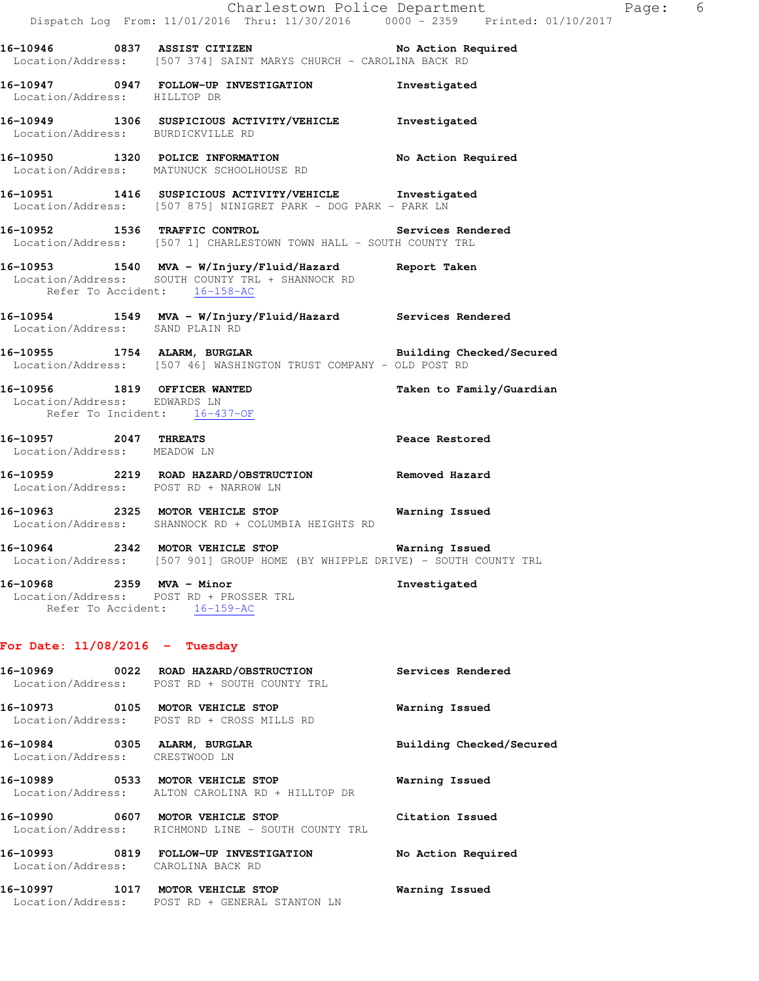|                                                                                              | Dispatch Log From: 11/01/2016 Thru: 11/30/2016 0000 <sup>-</sup> 2359 Printed: 01/10/2017                                                  | Charlestown Police Department | Page: 6 |  |
|----------------------------------------------------------------------------------------------|--------------------------------------------------------------------------------------------------------------------------------------------|-------------------------------|---------|--|
|                                                                                              | 16-10946 0837 ASSIST CITIZEN No Action Required<br>Location/Address: [507 374] SAINT MARYS CHURCH - CAROLINA BACK RD                       |                               |         |  |
| Location/Address: HILLTOP DR                                                                 | 16-10947 0947 FOLLOW-UP INVESTIGATION                                                                                                      | Investigated                  |         |  |
|                                                                                              | 16-10949 1306 SUSPICIOUS ACTIVITY/VEHICLE<br>Location/Address: BURDICKVILLE RD                                                             | Investigated                  |         |  |
|                                                                                              | 16-10950 1320 POLICE INFORMATION<br>Location/Address: MATUNUCK SCHOOLHOUSE RD                                                              | No Action Required            |         |  |
|                                                                                              | 16-10951 1416 SUSPICIOUS ACTIVITY/VEHICLE Investigated<br>Location/Address: [507 875] NINIGRET PARK - DOG PARK - PARK LN                   |                               |         |  |
|                                                                                              | 16-10952 1536 TRAFFIC CONTROL<br>Location/Address: [507 1] CHARLESTOWN TOWN HALL - SOUTH COUNTY TRL                                        | Services Rendered             |         |  |
|                                                                                              | 16-10953 1540 MVA - W/Injury/Fluid/Hazard Report Taken<br>Location/Address: SOUTH COUNTY TRL + SHANNOCK RD<br>Refer To Accident: 16-158-AC |                               |         |  |
| Location/Address: SAND PLAIN RD                                                              | 16-10954 1549 MVA - W/Injury/Fluid/Hazard Services Rendered                                                                                |                               |         |  |
|                                                                                              | 16-10955 1754 ALARM, BURGLAR Building Checked/Secured<br>Location/Address: [507 46] WASHINGTON TRUST COMPANY - OLD POST RD                 |                               |         |  |
| 16-10956 1819 OFFICER WANTED<br>Location/Address: EDWARDS LN<br>Refer To Incident: 16-437-OF |                                                                                                                                            | Taken to Family/Guardian      |         |  |
| 16-10957 2047 THREATS<br>Location/Address: MEADOW LN                                         |                                                                                                                                            | Peace Restored                |         |  |
| Location/Address: POST RD + NARROW LN                                                        | 16-10959 2219 ROAD HAZARD/OBSTRUCTION Removed Hazard                                                                                       |                               |         |  |
|                                                                                              | 16-10963 2325 MOTOR VEHICLE STOP<br>Location/Address: SHANNOCK RD + COLUMBIA HEIGHTS RD                                                    | Warning Issued                |         |  |
| 16-10964 2342 MOTOR VEHICLE STOP                                                             | Location/Address: [507 901] GROUP HOME (BY WHIPPLE DRIVE) - SOUTH COUNTY TRL                                                               | Warning Issued                |         |  |
|                                                                                              | $2359$ MVA - Minor<br>Location/Address: POST RD + PROSSER TRL<br>Refer To Accident: 16-159-AC                                              | Investigated                  |         |  |
| For Date: $11/08/2016$ - Tuesday                                                             |                                                                                                                                            |                               |         |  |
| 16-10969                                                                                     | 0022 ROAD HAZARD/OBSTRUCTION<br>Location/Address: POST RD + SOUTH COUNTY TRL                                                               | Services Rendered             |         |  |

**16-10973 0105 MOTOR VEHICLE STOP Warning Issued**  Location/Address: POST RD + CROSS MILLS RD

**16-10984 0305 ALARM, BURGLAR Building Checked/Secured**  Location/Address: CRESTWOOD LN **16-10989 0533 MOTOR VEHICLE STOP Warning Issued**  Location/Address: ALTON CAROLINA RD + HILLTOP DR **16-10990 0607 MOTOR VEHICLE STOP Citation Issued**  Location/Address: RICHMOND LINE - SOUTH COUNTY TRL

**16-10993 0819 FOLLOW-UP INVESTIGATION No Action Required**  Location/Address: CAROLINA BACK RD

**16-10997 1017 MOTOR VEHICLE STOP Warning Issued**  Location/Address: POST RD + GENERAL STANTON LN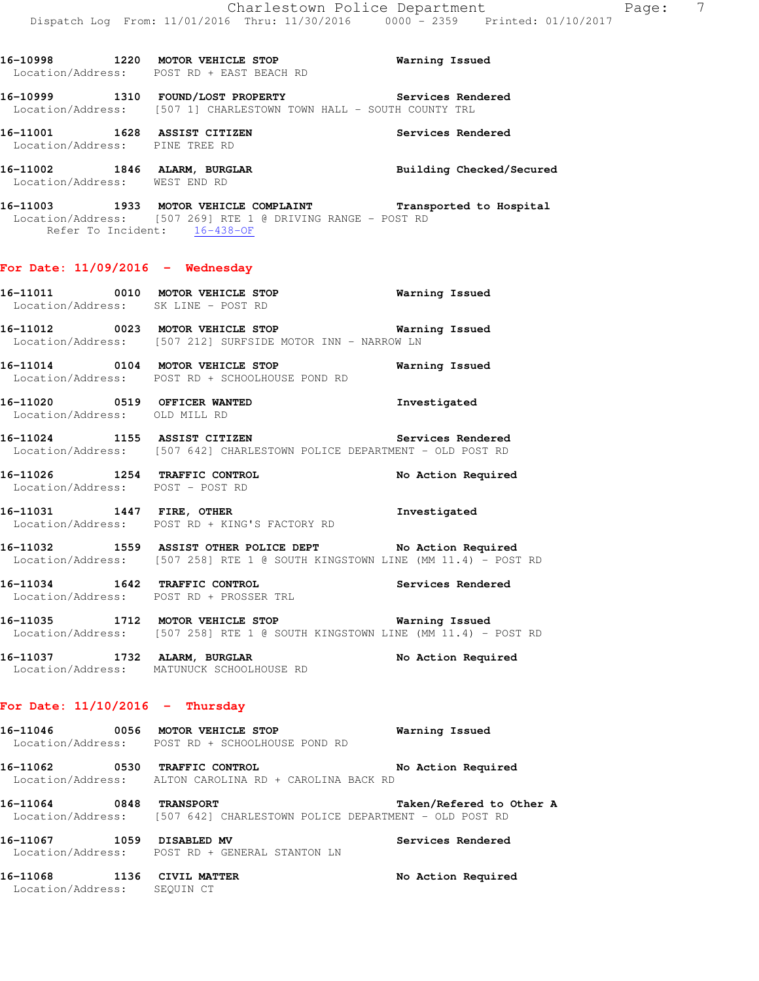| 16-10998<br>Location/Address: | 1220 | MOTOR VEHICLE STOP<br>POST RD + EAST BEACH RD                                             | Warning Issued |                          |
|-------------------------------|------|-------------------------------------------------------------------------------------------|----------------|--------------------------|
| 16-10999                      | 1310 | FOUND/LOST PROPERTY<br>Location/Address: [507 1] CHARLESTOWN TOWN HALL - SOUTH COUNTY TRL |                | Services Rendered        |
| 16–11001                      | 1628 | ASSIST CITIZEN<br>Location/Address: PINE TREE RD                                          |                | Services Rendered        |
| 16–11002<br>Location/Address: | 1846 | ALARM, BURGLAR<br>WEST END RD                                                             |                | Building Checked/Secured |

**16-11003 1933 MOTOR VEHICLE COMPLAINT Transported to Hospital**  Location/Address: [507 269] RTE 1 @ DRIVING RANGE - POST RD Refer To Incident: 16-438-OF

# **For Date: 11/09/2016 - Wednesday**

**16-11011 0010 MOTOR VEHICLE STOP Warning Issued**  Location/Address: SK LINE - POST RD

**16-11012 0023 MOTOR VEHICLE STOP Warning Issued**  Location/Address: [507 212] SURFSIDE MOTOR INN - NARROW LN

**16-11014 0104 MOTOR VEHICLE STOP Warning Issued**  Location/Address: POST RD + SCHOOLHOUSE POND RD

**16-11020 0519 OFFICER WANTED Investigated**  Location/Address: OLD MILL RD

- **16-11024 1155 ASSIST CITIZEN Services Rendered**  Location/Address: [507 642] CHARLESTOWN POLICE DEPARTMENT - OLD POST RD
- **16-11026 1254 TRAFFIC CONTROL No Action Required**  Location/Address: POST - POST RD

**16-11031 1447 FIRE, OTHER Investigated**  Location/Address: POST RD + KING'S FACTORY RD

**16-11032 1559 ASSIST OTHER POLICE DEPT No Action Required**  Location/Address: [507 258] RTE 1 @ SOUTH KINGSTOWN LINE (MM 11.4) - POST RD

**16-11034 1642 TRAFFIC CONTROL Services Rendered**  Location/Address: POST RD + PROSSER TRL

**16-11035 1712 MOTOR VEHICLE STOP Warning Issued**  Location/Address: [507 258] RTE 1 @ SOUTH KINGSTOWN LINE (MM 11.4) - POST RD

**16-11037 1732 ALARM, BURGLAR No Action Required**  Location/Address: MATUNUCK SCHOOLHOUSE RD

# **For Date: 11/10/2016 - Thursday**

**16-11046 0056 MOTOR VEHICLE STOP Warning Issued**  Location/Address: POST RD + SCHOOLHOUSE POND RD

**16-11062 0530 TRAFFIC CONTROL No Action Required**  Location/Address: ALTON CAROLINA RD + CAROLINA BACK RD

**16-11064 0848 TRANSPORT Taken/Refered to Other A**  Location/Address: [507 642] CHARLESTOWN POLICE DEPARTMENT - OLD POST RD

**16-11067 1059 DISABLED MV Services Rendered**  Location/Address: POST RD + GENERAL STANTON LN

16-11068 1136 CIVIL MATTER **16-11068** No Action Required Location/Address: SEQUIN CT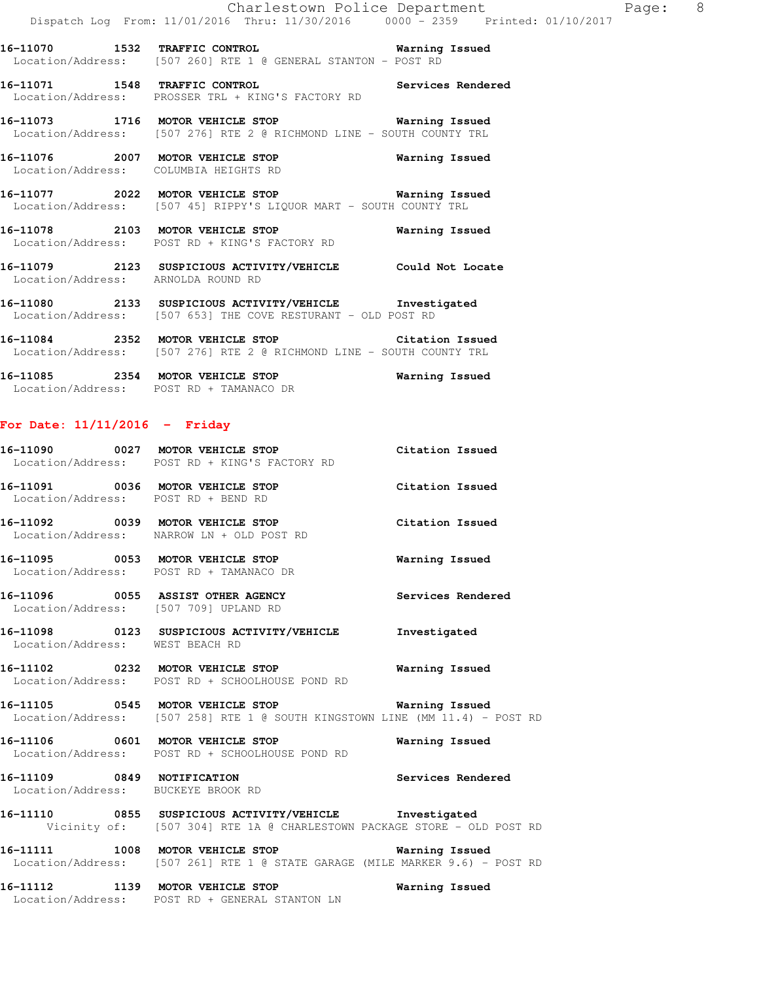**16-11070 1532 TRAFFIC CONTROL Warning Issued**  Location/Address: [507 260] RTE 1 @ GENERAL STANTON - POST RD

**16-11071 1548 TRAFFIC CONTROL Services Rendered**  Location/Address: PROSSER TRL + KING'S FACTORY RD

**16-11073 1716 MOTOR VEHICLE STOP Warning Issued**  Location/Address: [507 276] RTE 2 @ RICHMOND LINE - SOUTH COUNTY TRL

**16-11076 2007 MOTOR VEHICLE STOP Warning Issued**  Location/Address: COLUMBIA HEIGHTS RD

**16-11077 2022 MOTOR VEHICLE STOP Warning Issued**  Location/Address: [507 45] RIPPY'S LIQUOR MART - SOUTH COUNTY TRL

**16-11078 2103 MOTOR VEHICLE STOP Warning Issued**  Location/Address: POST RD + KING'S FACTORY RD

**16-11079 2123 SUSPICIOUS ACTIVITY/VEHICLE Could Not Locate**  Location/Address: ARNOLDA ROUND RD

**16-11080 2133 SUSPICIOUS ACTIVITY/VEHICLE Investigated**  Location/Address: [507 653] THE COVE RESTURANT - OLD POST RD

**16-11084 2352 MOTOR VEHICLE STOP Citation Issued**  Location/Address: [507 276] RTE 2 @ RICHMOND LINE - SOUTH COUNTY TRL

**16-11085 2354 MOTOR VEHICLE STOP Warning Issued**  Location/Address: POST RD + TAMANACO DR

### **For Date: 11/11/2016 - Friday**

|                                                                         | Location/Address: POST RD + KING'S FACTORY RD                                                                                      | Citation Issued   |
|-------------------------------------------------------------------------|------------------------------------------------------------------------------------------------------------------------------------|-------------------|
| 16-11091 0036 MOTOR VEHICLE STOP<br>Location/Address: POST RD + BEND RD |                                                                                                                                    | Citation Issued   |
|                                                                         | 16-11092 0039 MOTOR VEHICLE STOP<br>Location/Address: NARROW LN + OLD POST RD                                                      | Citation Issued   |
|                                                                         | 16-11095 0053 MOTOR VEHICLE STOP<br>Location/Address: POST RD + TAMANACO DR                                                        | Warning Issued    |
| Location/Address: [507 709] UPLAND RD                                   | 16-11096 0055 ASSIST OTHER AGENCY                                                                                                  | Services Rendered |
| Location/Address: WEST BEACH RD                                         | 16-11098 0123 SUSPICIOUS ACTIVITY/VEHICLE                                                                                          | Investigated      |
|                                                                         | 16-11102 0232 MOTOR VEHICLE STOP<br>Location/Address: POST RD + SCHOOLHOUSE POND RD                                                | Warning Issued    |
|                                                                         | Location/Address: [507 258] RTE 1 @ SOUTH KINGSTOWN LINE (MM 11.4) - POST RD                                                       |                   |
|                                                                         | 16-11106 0601 MOTOR VEHICLE STOP<br>Location/Address: POST RD + SCHOOLHOUSE POND RD                                                | Warning Issued    |
| 16-11109 0849 NOTIFICATION<br>Location/Address: BUCKEYE BROOK RD        |                                                                                                                                    | Services Rendered |
|                                                                         | 16-11110 0855 SUSPICIOUS ACTIVITY/VEHICLE Investigated<br>Vicinity of: [507 304] RTE 1A @ CHARLESTOWN PACKAGE STORE - OLD POST RD  |                   |
|                                                                         | 16-11111 1008 MOTOR VEHICLE STOP 50 Warning Issued<br>Location/Address: [507 261] RTE 1 @ STATE GARAGE (MILE MARKER 9.6) - POST RD |                   |
| 16-11112 1139 MOTOR VEHICLE STOP                                        |                                                                                                                                    | Warning Issued    |

Location/Address: POST RD + GENERAL STANTON LN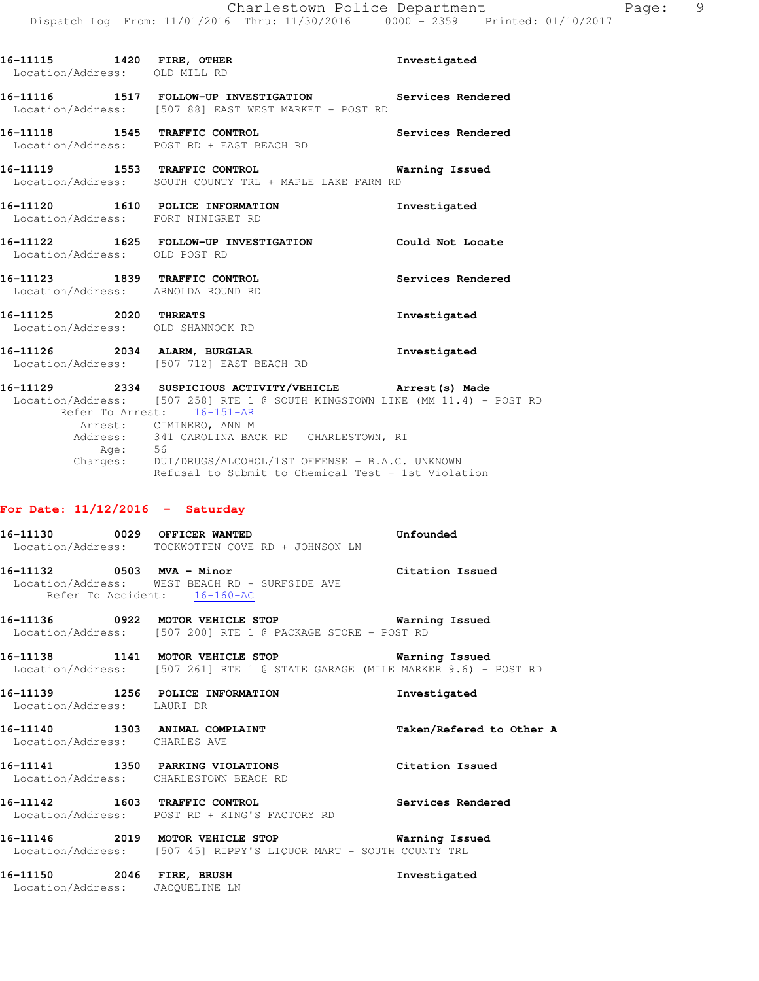**16-11119 1553 TRAFFIC CONTROL Warning Issued**  Location/Address: SOUTH COUNTY TRL + MAPLE LAKE FARM RD

**16-11120 1610 POLICE INFORMATION Investigated**  Location/Address: FORT NINIGRET RD

**16-11122 1625 FOLLOW-UP INVESTIGATION Could Not Locate**  Location/Address: OLD POST RD

**16-11123 1839 TRAFFIC CONTROL Services Rendered**  Location/Address: ARNOLDA ROUND RD

**16-11125 2020 THREATS Investigated**  Location/Address: OLD SHANNOCK RD

**16-11126 2034 ALARM, BURGLAR Investigated**  Location/Address: [507 712] EAST BEACH RD

**16-11129 2334 SUSPICIOUS ACTIVITY/VEHICLE Arrest(s) Made**  Location/Address: [507 258] RTE 1 @ SOUTH KINGSTOWN LINE (MM 11.4) - POST RD Refer To Arrest:  $\frac{16-151-AR}{2}$ Arrest: CIMINERO, ANN M Address: 341 CAROLINA BACK RD CHARLESTOWN, RI Age: 56 Charges: DUI/DRUGS/ALCOHOL/1ST OFFENSE - B.A.C. UNKNOWN Refusal to Submit to Chemical Test - 1st Violation

### **For Date: 11/12/2016 - Saturday**

**16-11130 0029 OFFICER WANTED Unfounded**  Location/Address: TOCKWOTTEN COVE RD + JOHNSON LN **16-11132 0503 MVA - Minor Citation Issued**  Location/Address: WEST BEACH RD + SURFSIDE AVE

Refer To Accident: 16-160-AC **16-11136 0922 MOTOR VEHICLE STOP Warning Issued**  Location/Address: [507 200] RTE 1 @ PACKAGE STORE - POST RD

**16-11138 1141 MOTOR VEHICLE STOP Warning Issued**  Location/Address: [507 261] RTE 1 @ STATE GARAGE (MILE MARKER 9.6) - POST RD

**16-11139 1256 POLICE INFORMATION Investigated**  Location/Address: LAURI DR

**16-11140 1303 ANIMAL COMPLAINT Taken/Refered to Other A**  Location/Address: CHARLES AVE

**16-11141 1350 PARKING VIOLATIONS Citation Issued**  Location/Address: CHARLESTOWN BEACH RD

**16-11142 1603 TRAFFIC CONTROL Services Rendered**  Location/Address: POST RD + KING'S FACTORY RD

**16-11146 2019 MOTOR VEHICLE STOP Warning Issued**  Location/Address: [507 45] RIPPY'S LIQUOR MART - SOUTH COUNTY TRL

**16-11150 2046 FIRE, BRUSH Investigated**  Location/Address: JACQUELINE LN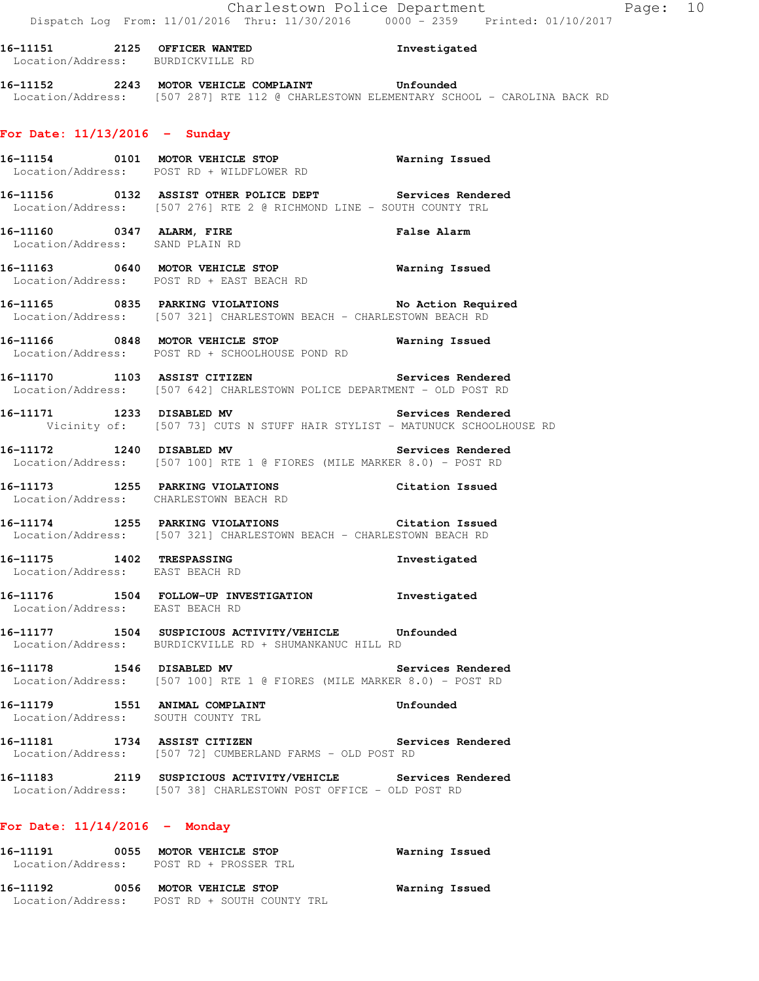| 16–11151                        | 2125 | OFFICER WANTED<br>Location/Address: BURDICKVILLE RD             | Investigated                                                                                        |  |
|---------------------------------|------|-----------------------------------------------------------------|-----------------------------------------------------------------------------------------------------|--|
| 16–11152                        | 2243 | MOTOR VEHICLE COMPLAINT                                         | Unfounded<br>Location/Address: [507 287] RTE 112 @ CHARLESTOWN ELEMENTARY SCHOOL - CAROLINA BACK RD |  |
| For Date: $11/13/2016$ - Sunday |      |                                                                 |                                                                                                     |  |
| 16–11154                        | 0101 | MOTOR VEHICLE STOP<br>Location/Address: POST RD + WILDFLOWER RD | Warning Issued                                                                                      |  |

- **16-11156 0132 ASSIST OTHER POLICE DEPT Services Rendered**  Location/Address: [507 276] RTE 2 @ RICHMOND LINE - SOUTH COUNTY TRL
- **16-11160 0347 ALARM, FIRE False Alarm**  Location/Address: SAND PLAIN RD
- **16-11163 0640 MOTOR VEHICLE STOP Warning Issued**  Location/Address: POST RD + EAST BEACH RD
- **16-11165 0835 PARKING VIOLATIONS No Action Required**  Location/Address: [507 321] CHARLESTOWN BEACH - CHARLESTOWN BEACH RD
- **16-11166 0848 MOTOR VEHICLE STOP Warning Issued**  Location/Address: POST RD + SCHOOLHOUSE POND RD
- **16-11170 1103 ASSIST CITIZEN Services Rendered**  Location/Address: [507 642] CHARLESTOWN POLICE DEPARTMENT - OLD POST RD
- 16-11171 1233 DISABLED MV **Services Rendered** Vicinity of: [507 73] CUTS N STUFF HAIR STYLIST - MATUNUCK SCHOOLHOUSE RD
- **16-11172 1240 DISABLED MV Services Rendered**  Location/Address: [507 100] RTE 1 @ FIORES (MILE MARKER 8.0) - POST RD
- **16-11173 1255 PARKING VIOLATIONS Citation Issued**  Location/Address: CHARLESTOWN BEACH RD
- **16-11174 1255 PARKING VIOLATIONS Citation Issued**  Location/Address: [507 321] CHARLESTOWN BEACH - CHARLESTOWN BEACH RD
- **16-11175 1402 TRESPASSING Investigated**  Location/Address: EAST BEACH RD
- **16-11176 1504 FOLLOW-UP INVESTIGATION Investigated**  Location/Address: EAST BEACH RD
- **16-11177 1504 SUSPICIOUS ACTIVITY/VEHICLE Unfounded**  Location/Address: BURDICKVILLE RD + SHUMANKANUC HILL RD
- **16-11178 1546 DISABLED MV Services Rendered**  Location/Address: [507 100] RTE 1 @ FIORES (MILE MARKER 8.0) - POST RD
- **16-11179 1551 ANIMAL COMPLAINT Unfounded**  Location/Address: SOUTH COUNTY TRL
- **16-11181 1734 ASSIST CITIZEN Services Rendered**  Location/Address: [507 72] CUMBERLAND FARMS - OLD POST RD
- **16-11183 2119 SUSPICIOUS ACTIVITY/VEHICLE Services Rendered**  Location/Address: [507 38] CHARLESTOWN POST OFFICE - OLD POST RD

# **For Date: 11/14/2016 - Monday**

| 16-11191<br>0055<br>Location/Address: | MOTOR VEHICLE STOP<br>POST RD + PROSSER TRL       | Warning Issued |
|---------------------------------------|---------------------------------------------------|----------------|
| 16–11192<br>0056<br>Location/Address: | MOTOR VEHICLE STOP<br>POST RD + SOUTH COUNTY TRI. | Warning Issued |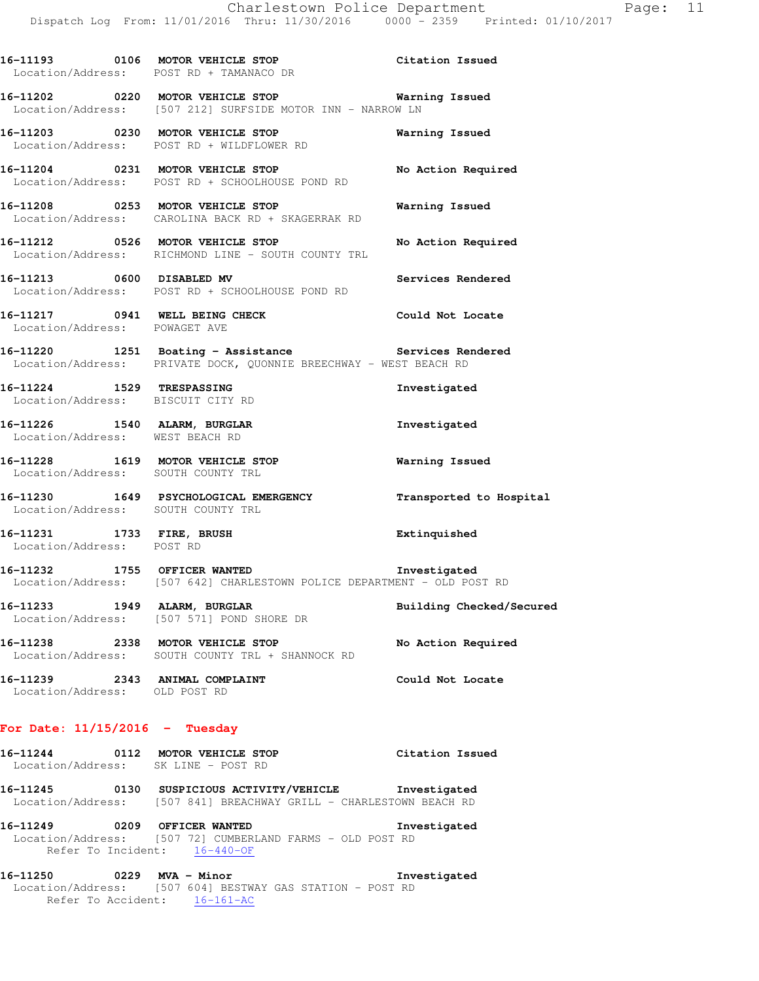|                                                                         | 16-11193 0106 MOTOR VEHICLE STOP Citation Issued<br>Location/Address: POST RD + TAMANACO DR                               |                          |
|-------------------------------------------------------------------------|---------------------------------------------------------------------------------------------------------------------------|--------------------------|
|                                                                         | 16-11202 0220 MOTOR VEHICLE STOP Warning Issued<br>Location/Address: [507 212] SURFSIDE MOTOR INN - NARROW LN             |                          |
|                                                                         | 16-11203 0230 MOTOR VEHICLE STOP<br>Location/Address: POST RD + WILDFLOWER RD                                             | Warning Issued           |
|                                                                         | 16-11204 0231 MOTOR VEHICLE STOP<br>Location/Address: POST RD + SCHOOLHOUSE POND RD                                       | No Action Required       |
|                                                                         | 16-11208 0253 MOTOR VEHICLE STOP<br>Location/Address: CAROLINA BACK RD + SKAGERRAK RD                                     | Warning Issued           |
|                                                                         | 16-11212 0526 MOTOR VEHICLE STOP<br>Location/Address: RICHMOND LINE - SOUTH COUNTY TRL                                    | No Action Required       |
|                                                                         | $16-11213$ 0600 DISABLED MV<br>Location/Address: POST RD + SCHOOLHOUSE POND RD                                            | Services Rendered        |
| Location/Address: POWAGET AVE                                           | 16-11217 0941 WELL BEING CHECK Could Not Locate                                                                           |                          |
|                                                                         | 16-11220 1251 Boating - Assistance Services Rendered<br>Location/Address: PRIVATE DOCK, QUONNIE BREECHWAY - WEST BEACH RD |                          |
| 16-11224 1529 TRESPASSING<br>Location/Address: BISCUIT CITY RD          |                                                                                                                           | Investigated             |
| Location/Address: WEST BEACH RD                                         | 16-11226 1540 ALARM, BURGLAR                                                                                              | Investigated             |
| Location/Address: SOUTH COUNTY TRL                                      | 16-11228 1619 MOTOR VEHICLE STOP                                                                                          | <b>Warning Issued</b>    |
|                                                                         | 16-11230   1649   PSYCHOLOGICAL EMERGENCY   Transported to Hospital Location/Address:   SOUTH COUNTY TRL                  |                          |
|                                                                         | 16-11231 1733 FIRE, BRUSH<br>Location/Address: POST RD                                                                    | Extinquished             |
|                                                                         | 16-11232 1755 OFFICER WANTED Investigated<br>Location/Address: [507 642] CHARLESTOWN POLICE DEPARTMENT - OLD POST RD      |                          |
|                                                                         | 16-11233 1949 ALARM, BURGLAR<br>Location/Address: [507 571] POND SHORE DR                                                 | Building Checked/Secured |
| 16-11238 2338 MOTOR VEHICLE STOP                                        | Location/Address: SOUTH COUNTY TRL + SHANNOCK RD                                                                          | No Action Required       |
| 16-11239 2343 ANIMAL COMPLAINT<br>Location/Address: OLD POST RD         |                                                                                                                           | Could Not Locate         |
| For Date: $11/15/2016$ - Tuesday                                        |                                                                                                                           |                          |
| 16-11244 0112 MOTOR VEHICLE STOP<br>Location/Address: SK LINE - POST RD |                                                                                                                           | Citation Issued          |
|                                                                         |                                                                                                                           |                          |

**16-11245 0130 SUSPICIOUS ACTIVITY/VEHICLE Investigated**  Location/Address: [507 841] BREACHWAY GRILL - CHARLESTOWN BEACH RD

**16-11249 0209 OFFICER WANTED Investigated**  Location/Address: [507 72] CUMBERLAND FARMS - OLD POST RD Refer To Incident: 16-440-OF

**16-11250 0229 MVA - Minor Investigated**  Location/Address: [507 604] BESTWAY GAS STATION - POST RD Refer To Accident: 16-161-AC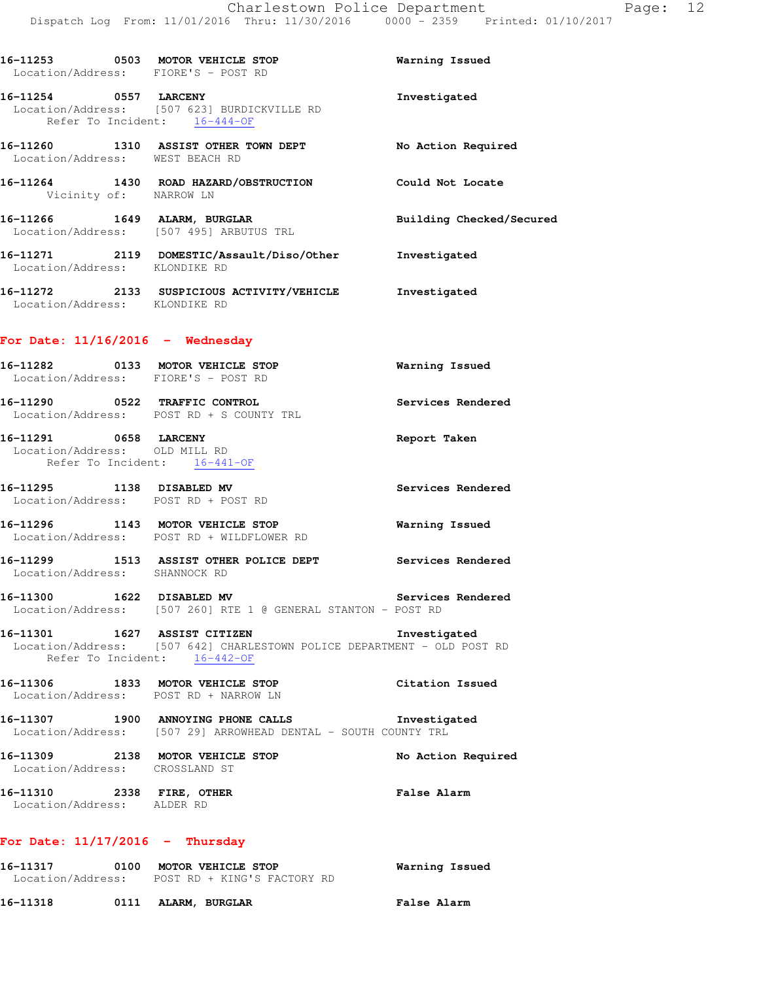| 16-11254 | 0557 | <b>LARCENY</b>                                            |                                                | Investigated   |                                  |
|----------|------|-----------------------------------------------------------|------------------------------------------------|----------------|----------------------------------|
| 16–11253 | 0503 | MOTOR VEHICLE STOP<br>Location/Address: FIORE'S - POST RD |                                                | Warning Issued |                                  |
|          |      |                                                           | DISPALCH LOG FIOM: 11/01/2016 INIU: 11/30/2016 |                | $0000 - 2359$ Printed: $01/10/2$ |

 Location/Address: [507 623] BURDICKVILLE RD Refer To Incident: 16-444-OF

**16-11260 1310 ASSIST OTHER TOWN DEPT No Action Required**  Location/Address: WEST BEACH RD

**16-11264 1430 ROAD HAZARD/OBSTRUCTION Could Not Locate**  Vicinity of: NARROW LN

**16-11266 1649 ALARM, BURGLAR Building Checked/Secured**  Location/Address: [507 495] ARBUTUS TRL

- **16-11271 2119 DOMESTIC/Assault/Diso/Other Investigated**  Location/Address: KLONDIKE RD
- **16-11272 2133 SUSPICIOUS ACTIVITY/VEHICLE Investigated**  Location/Address: KLONDIKE RD

# **For Date: 11/16/2016 - Wednesday**

**16-11282 0133 MOTOR VEHICLE STOP Warning Issued**  Location/Address: FIORE'S - POST RD **16-11290 0522 TRAFFIC CONTROL Services Rendered** 

Location/Address: POST RD + S COUNTY TRL

**16-11291 0658 LARCENY Report Taken**  Location/Address: OLD MILL RD Refer To Incident: 16-441-OF

**16-11295 1138 DISABLED MV Services Rendered**  Location/Address: POST RD + POST RD

**16-11296 1143 MOTOR VEHICLE STOP Warning Issued**  Location/Address: POST RD + WILDFLOWER RD

**16-11299 1513 ASSIST OTHER POLICE DEPT Services Rendered**  Location/Address: SHANNOCK RD

**16-11300 1622 DISABLED MV Services Rendered**  Location/Address: [507 260] RTE 1 @ GENERAL STANTON - POST RD

**16-11301 1627 ASSIST CITIZEN Investigated**  Location/Address: [507 642] CHARLESTOWN POLICE DEPARTMENT - OLD POST RD Refer To Incident: 16-442-OF

**16-11306 1833 MOTOR VEHICLE STOP Citation Issued**  Location/Address: POST RD + NARROW LN

**16-11307 1900 ANNOYING PHONE CALLS Investigated**  Location/Address: [507 29] ARROWHEAD DENTAL - SOUTH COUNTY TRL

**16-11309 2138 MOTOR VEHICLE STOP No Action Required**  Location/Address: CROSSLAND ST **16-11310 2338 FIRE, OTHER False Alarm** 

Location/Address: ALDER RD

## **For Date: 11/17/2016 - Thursday**

| 16–11317          | 0100 |  | MOTOR VEHICLE STOP |                             |  | Warning Issued |  |
|-------------------|------|--|--------------------|-----------------------------|--|----------------|--|
| Location/Address: |      |  |                    | POST RD + KING'S FACTORY RD |  |                |  |
|                   |      |  |                    |                             |  |                |  |

**16-11318 0111 ALARM, BURGLAR False Alarm**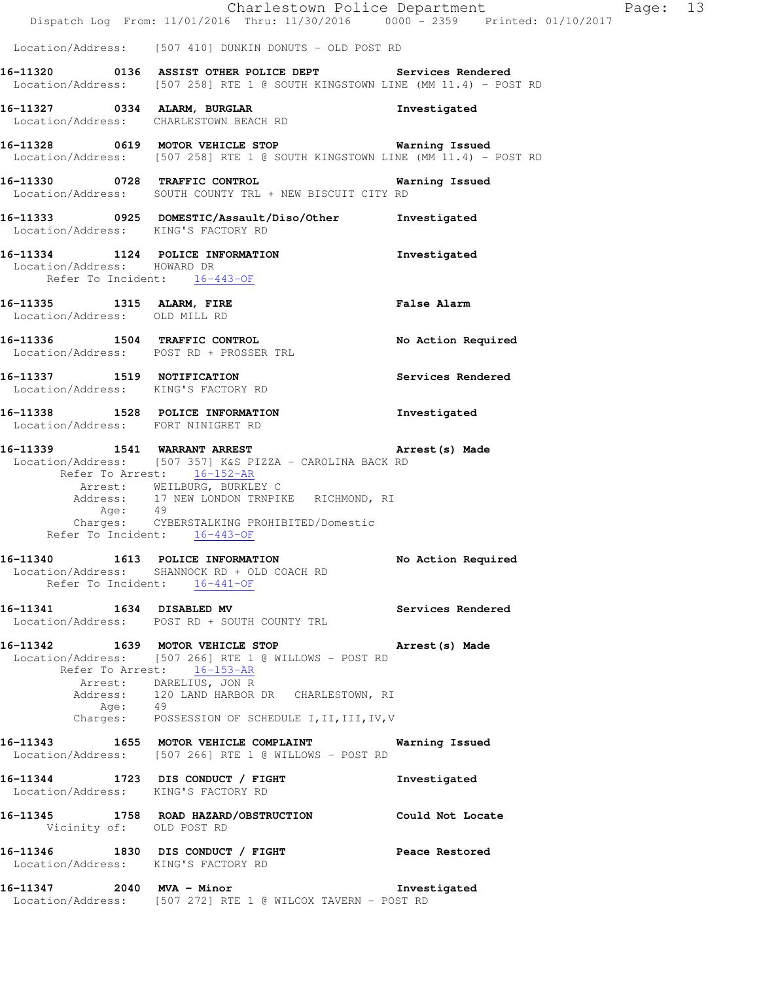|                                                                   | Dispatch Log From: 11/01/2016 Thru: 11/30/2016 0000 - 2359 Printed: 01/10/2017                                                                                                                                                                                                           | Charlestown Police Department | Page: 13 |  |
|-------------------------------------------------------------------|------------------------------------------------------------------------------------------------------------------------------------------------------------------------------------------------------------------------------------------------------------------------------------------|-------------------------------|----------|--|
|                                                                   | Location/Address: [507 410] DUNKIN DONUTS - OLD POST RD                                                                                                                                                                                                                                  |                               |          |  |
|                                                                   | 16-11320 0136 ASSIST OTHER POLICE DEPT Services Rendered<br>Location/Address: [507 258] RTE 1 @ SOUTH KINGSTOWN LINE (MM 11.4) - POST RD                                                                                                                                                 |                               |          |  |
|                                                                   | 16-11327 0334 ALARM, BURGLAR<br>Location/Address: CHARLESTOWN BEACH RD                                                                                                                                                                                                                   | Investigated                  |          |  |
|                                                                   | 16-11328 0619 MOTOR VEHICLE STOP Warning Issued<br>Location/Address: [507 258] RTE 1 @ SOUTH KINGSTOWN LINE (MM 11.4) - POST RD                                                                                                                                                          |                               |          |  |
|                                                                   | 16-11330 0728 TRAFFIC CONTROL<br>Location/Address: SOUTH COUNTY TRL + NEW BISCUIT CITY RD                                                                                                                                                                                                | Warning Issued                |          |  |
| Location/Address: KING'S FACTORY RD                               | 16-11333 0925 DOMESTIC/Assault/Diso/Other                                                                                                                                                                                                                                                | Investigated                  |          |  |
| Location/Address: HOWARD DR<br>Refer To Incident: 16-443-OF       | 16-11334 1124 POLICE INFORMATION                                                                                                                                                                                                                                                         | Investigated                  |          |  |
| 16-11335 1315 ALARM, FIRE<br>Location/Address: OLD MILL RD        |                                                                                                                                                                                                                                                                                          | <b>False Alarm</b>            |          |  |
|                                                                   | 16-11336 1504 TRAFFIC CONTROL<br>Location/Address: POST RD + PROSSER TRL                                                                                                                                                                                                                 | No Action Required            |          |  |
| 16-11337 1519 NOTIFICATION<br>Location/Address: KING'S FACTORY RD |                                                                                                                                                                                                                                                                                          | Services Rendered             |          |  |
| Location/Address: FORT NINIGRET RD                                | 16-11338 1528 POLICE INFORMATION                                                                                                                                                                                                                                                         | Investigated                  |          |  |
| Age: 49                                                           | 16-11339 1541 WARRANT ARREST<br>Location/Address: [507 357] K&S PIZZA - CAROLINA BACK RD<br>Refer To Arrest: 16-152-AR<br>Arrest: WEILBURG, BURKLEY C<br>Address: 17 NEW LONDON TRNPIKE RICHMOND, RI<br>Charges: CYBERSTALKING PROHIBITED/Domestic<br>Refer To Incident: 16-443-OF       | Arrest(s) Made                |          |  |
| 16-11340 1613 POLICE INFORMATION                                  | Location/Address: SHANNOCK RD + OLD COACH RD<br>Refer To Incident: 16-441-OF                                                                                                                                                                                                             | No Action Required            |          |  |
| 16-11341 1634 DISABLED MV                                         | Location/Address: POST RD + SOUTH COUNTY TRL                                                                                                                                                                                                                                             | Services Rendered             |          |  |
|                                                                   | 16-11342 1639 MOTOR VEHICLE STOP <b>Arrest</b> (s) Made<br>Location/Address: [507 266] RTE 1 @ WILLOWS - POST RD<br>Refer To Arrest: 16-153-AR<br>Arrest: DARELIUS, JON R<br>Address: 120 LAND HARBOR DR CHARLESTOWN, RI<br>Age: 49<br>Charges: POSSESSION OF SCHEDULE I, II, III, IV, V |                               |          |  |
|                                                                   | 16-11343 1655 MOTOR VEHICLE COMPLAINT<br>Location/Address: [507 266] RTE 1 @ WILLOWS - POST RD                                                                                                                                                                                           | Warning Issued                |          |  |
| Location/Address: KING'S FACTORY RD                               | 16-11344 1723 DIS CONDUCT / FIGHT                                                                                                                                                                                                                                                        | Investigated                  |          |  |
| Vicinity of: OLD POST RD                                          | 16-11345 1758 ROAD HAZARD/OBSTRUCTION Could Not Locate                                                                                                                                                                                                                                   |                               |          |  |
| Location/Address: KING'S FACTORY RD                               | 16-11346 1830 DIS CONDUCT / FIGHT                                                                                                                                                                                                                                                        | <b>Peace Restored</b>         |          |  |
| 16-11347 2040 MVA - Minor                                         | Location/Address: [507 272] RTE 1 @ WILCOX TAVERN - POST RD                                                                                                                                                                                                                              | Investigated                  |          |  |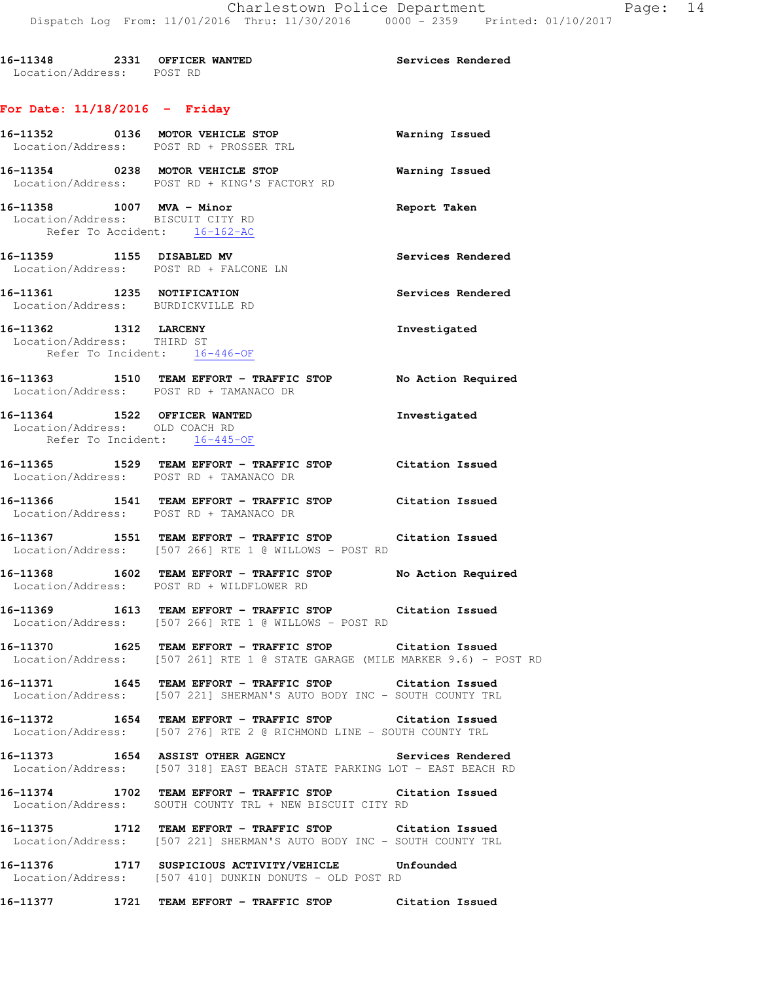| 16-11348          | 2331 OFFICER WANTED | Services Rendered |  |
|-------------------|---------------------|-------------------|--|
| Location/Address: | POST RD             |                   |  |

# **For Date: 11/18/2016 - Friday**

|                                                     | 16-11352 0136 MOTOR VEHICLE STOP Warning Issued<br>Location/Address: POST RD + PROSSER TRL                                               |                       |
|-----------------------------------------------------|------------------------------------------------------------------------------------------------------------------------------------------|-----------------------|
|                                                     | 16-11354 0238 MOTOR VEHICLE STOP<br>Location/Address: POST RD + KING'S FACTORY RD                                                        | <b>Warning Issued</b> |
|                                                     | 16-11358 1007 MVA - Minor<br>Location/Address: BISCUIT CITY RD<br>Refer To Accident: 16-162-AC                                           | Report Taken          |
|                                                     | 16-11359 1155 DISABLED MV<br>Location/Address: POST RD + FALCONE LN                                                                      | Services Rendered     |
| 16-11361 1235 NOTIFICATION                          | Location/Address: BURDICKVILLE RD                                                                                                        | Services Rendered     |
| 16-11362 1312 LARCENY<br>Location/Address: THIRD ST | Refer To Incident: 16-446-OF                                                                                                             | Investigated          |
|                                                     | 16-11363 1510 TEAM EFFORT - TRAFFIC STOP No Action Required<br>Location/Address: POST RD + TAMANACO DR                                   |                       |
| Location/Address: OLD COACH RD                      | 16-11364 1522 OFFICER WANTED<br>Refer To Incident: 16-445-OF                                                                             | Investigated          |
|                                                     | 16-11365 1529 TEAM EFFORT - TRAFFIC STOP Citation Issued<br>Location/Address: POST RD + TAMANACO DR                                      |                       |
|                                                     | 16-11366 1541 TEAM EFFORT - TRAFFIC STOP Citation Issued<br>Location/Address: POST RD + TAMANACO DR                                      |                       |
|                                                     | 16-11367 1551 TEAM EFFORT - TRAFFIC STOP Citation Issued<br>Location/Address: [507 266] RTE 1 @ WILLOWS - POST RD                        |                       |
|                                                     | 16-11368 1602 TEAM EFFORT - TRAFFIC STOP No Action Required<br>Location/Address: POST RD + WILDFLOWER RD                                 |                       |
|                                                     | 16-11369 1613 TEAM EFFORT - TRAFFIC STOP Citation Issued<br>Location/Address: [507 266] RTE 1 @ WILLOWS - POST RD                        |                       |
|                                                     | 16-11370 1625 TEAM EFFORT - TRAFFIC STOP Citation Issued<br>Location/Address: [507 261] RTE 1 @ STATE GARAGE (MILE MARKER 9.6) - POST RD |                       |
|                                                     | 16-11371 1645 TEAM EFFORT - TRAFFIC STOP Citation Issued<br>Location/Address: [507 221] SHERMAN'S AUTO BODY INC - SOUTH COUNTY TRL       |                       |
|                                                     | 16-11372 1654 TEAM EFFORT - TRAFFIC STOP Citation Issued<br>Location/Address: [507 276] RTE 2 @ RICHMOND LINE - SOUTH COUNTY TRL         |                       |
|                                                     | 16-11373 1654 ASSIST OTHER AGENCY<br>Location/Address: [507 318] EAST BEACH STATE PARKING LOT - EAST BEACH RD                            | Services Rendered     |
|                                                     | 16-11374 1702 TEAM EFFORT - TRAFFIC STOP Citation Issued<br>Location/Address: SOUTH COUNTY TRL + NEW BISCUIT CITY RD                     |                       |
|                                                     | 16-11375 1712 TEAM EFFORT - TRAFFIC STOP Citation Issued<br>Location/Address: [507 221] SHERMAN'S AUTO BODY INC - SOUTH COUNTY TRL       |                       |
|                                                     | 16-11376 1717 SUSPICIOUS ACTIVITY/VEHICLE Unfounded<br>Location/Address: [507 410] DUNKIN DONUTS - OLD POST RD                           |                       |
|                                                     | 16-11377 1721 TEAM EFFORT - TRAFFIC STOP Citation Issued                                                                                 |                       |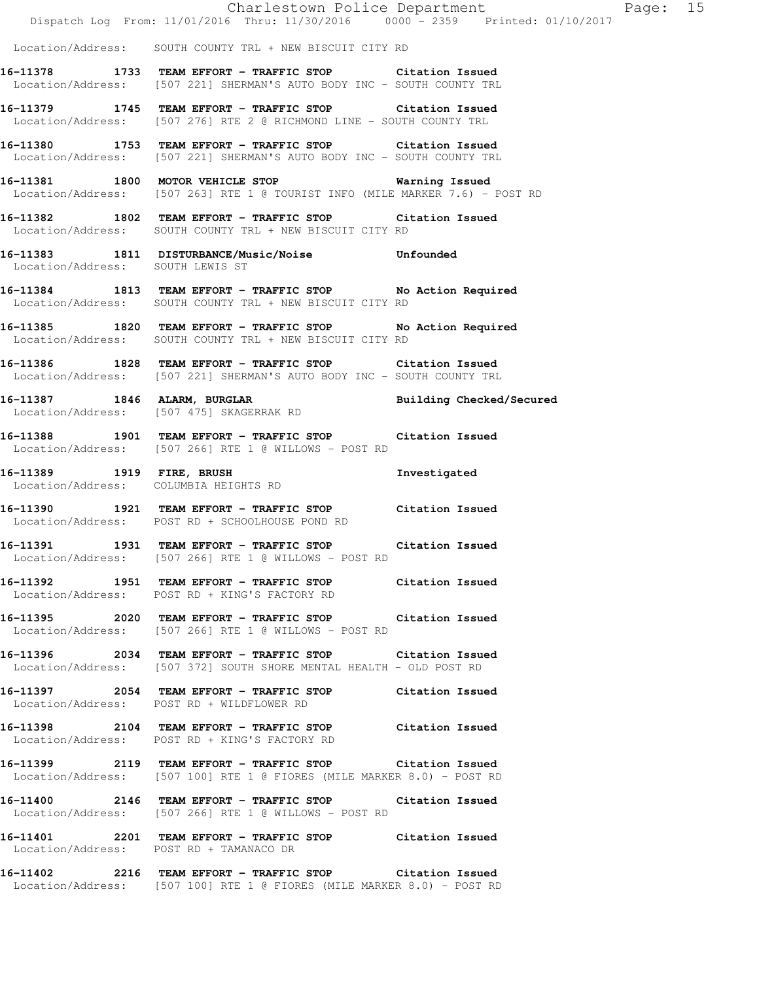Charlestown Police Department The Page: 15 Dispatch Log From: 11/01/2016 Thru: 11/30/2016 0000 - 2359 Printed: 01/10/2017 Location/Address: SOUTH COUNTY TRL + NEW BISCUIT CITY RD **16-11378 1733 TEAM EFFORT - TRAFFIC STOP Citation Issued**  Location/Address: [507 221] SHERMAN'S AUTO BODY INC - SOUTH COUNTY TRL **16-11379 1745 TEAM EFFORT - TRAFFIC STOP Citation Issued**  Location/Address: [507 276] RTE 2 @ RICHMOND LINE - SOUTH COUNTY TRL **16-11380 1753 TEAM EFFORT - TRAFFIC STOP Citation Issued**  Location/Address: [507 221] SHERMAN'S AUTO BODY INC - SOUTH COUNTY TRL **16-11381 1800 MOTOR VEHICLE STOP Warning Issued**  Location/Address: [507 263] RTE 1 @ TOURIST INFO (MILE MARKER 7.6) - POST RD **16-11382 1802 TEAM EFFORT - TRAFFIC STOP Citation Issued**  Location/Address: SOUTH COUNTY TRL + NEW BISCUIT CITY RD **16-11383 1811 DISTURBANCE/Music/Noise Unfounded**  Location/Address: SOUTH LEWIS ST **16-11384 1813 TEAM EFFORT - TRAFFIC STOP No Action Required**  Location/Address: SOUTH COUNTY TRL + NEW BISCUIT CITY RD **16-11385 1820 TEAM EFFORT - TRAFFIC STOP No Action Required**  Location/Address: SOUTH COUNTY TRL + NEW BISCUIT CITY RD **16-11386 1828 TEAM EFFORT - TRAFFIC STOP Citation Issued**  Location/Address: [507 221] SHERMAN'S AUTO BODY INC - SOUTH COUNTY TRL 16-11387 1846 ALARM, BURGLAR **Building Checked/Secured**  Location/Address: [507 475] SKAGERRAK RD **16-11388 1901 TEAM EFFORT - TRAFFIC STOP Citation Issued**  Location/Address: [507 266] RTE 1 @ WILLOWS - POST RD **16-11389 1919 FIRE, BRUSH Investigated**  Location/Address: COLUMBIA HEIGHTS RD **16-11390 1921 TEAM EFFORT - TRAFFIC STOP Citation Issued**  Location/Address: POST RD + SCHOOLHOUSE POND RD **16-11391 1931 TEAM EFFORT - TRAFFIC STOP Citation Issued**  Location/Address: [507 266] RTE 1 @ WILLOWS - POST RD **16-11392 1951 TEAM EFFORT - TRAFFIC STOP Citation Issued**  Location/Address: POST RD + KING'S FACTORY RD **16-11395 2020 TEAM EFFORT - TRAFFIC STOP Citation Issued**  Location/Address: [507 266] RTE 1 @ WILLOWS - POST RD **16-11396 2034 TEAM EFFORT - TRAFFIC STOP Citation Issued**  Location/Address: [507 372] SOUTH SHORE MENTAL HEALTH - OLD POST RD **16-11397 2054 TEAM EFFORT - TRAFFIC STOP Citation Issued**  Location/Address: POST RD + WILDFLOWER RD **16-11398 2104 TEAM EFFORT - TRAFFIC STOP Citation Issued**  Location/Address: POST RD + KING'S FACTORY RD **16-11399 2119 TEAM EFFORT - TRAFFIC STOP Citation Issued**  Location/Address: [507 100] RTE 1 @ FIORES (MILE MARKER 8.0) - POST RD **16-11400 2146 TEAM EFFORT - TRAFFIC STOP Citation Issued**  Location/Address: [507 266] RTE 1 @ WILLOWS - POST RD **16-11401 2201 TEAM EFFORT - TRAFFIC STOP Citation Issued**  Location/Address: POST RD + TAMANACO DR **16-11402 2216 TEAM EFFORT - TRAFFIC STOP Citation Issued** 

Location/Address: [507 100] RTE 1 @ FIORES (MILE MARKER 8.0) - POST RD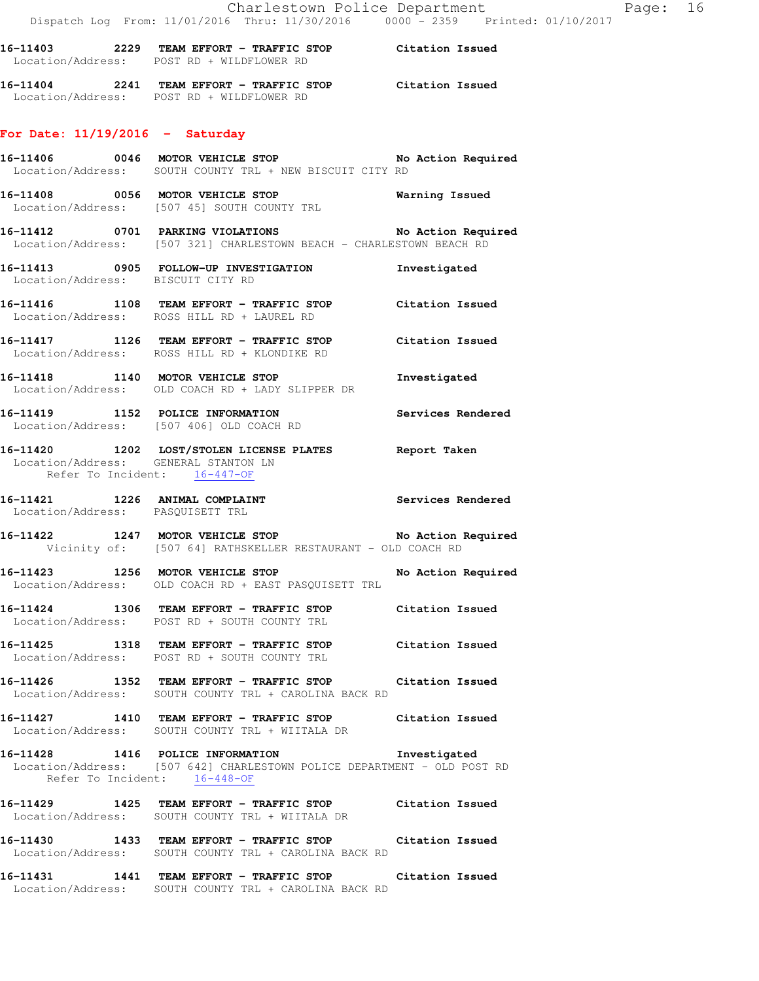| 16-11403<br>2229  | TEAM EFFORT - TRAFFIC STOP | Citation Issued |
|-------------------|----------------------------|-----------------|
| Location/Address: | POST RD + WILDFLOWER RD    |                 |
|                   |                            |                 |

**16-11404 2241 TEAM EFFORT - TRAFFIC STOP Citation Issued**  Location/Address: POST RD + WILDFLOWER RD

# **For Date: 11/19/2016 - Saturday**

- **16-11406 0046 MOTOR VEHICLE STOP No Action Required**  Location/Address: SOUTH COUNTY TRL + NEW BISCUIT CITY RD
- **16-11408 0056 MOTOR VEHICLE STOP Warning Issued**  Location/Address: [507 45] SOUTH COUNTY TRL
- **16-11412 0701 PARKING VIOLATIONS No Action Required**  Location/Address: [507 321] CHARLESTOWN BEACH - CHARLESTOWN BEACH RD
- **16-11413 0905 FOLLOW-UP INVESTIGATION Investigated**  Location/Address: BISCUIT CITY RD
- **16-11416 1108 TEAM EFFORT TRAFFIC STOP Citation Issued**  Location/Address: ROSS HILL RD + LAUREL RD
- **16-11417 1126 TEAM EFFORT TRAFFIC STOP Citation Issued**  Location/Address: ROSS HILL RD + KLONDIKE RD
- **16-11418 1140 MOTOR VEHICLE STOP Investigated**  Location/Address: OLD COACH RD + LADY SLIPPER DR
- **16-11419 1152 POLICE INFORMATION Services Rendered**  Location/Address: [507 406] OLD COACH RD
- **16-11420 1202 LOST/STOLEN LICENSE PLATES Report Taken**  Location/Address: GENERAL STANTON LN Refer To Incident: 16-447-OF
- **16-11421 1226 ANIMAL COMPLAINT Services Rendered**  Location/Address: PASQUISETT TRL
- **16-11422 1247 MOTOR VEHICLE STOP No Action Required**  Vicinity of: [507 64] RATHSKELLER RESTAURANT - OLD COACH RD
- **16-11423 1256 MOTOR VEHICLE STOP No Action Required**  Location/Address: OLD COACH RD + EAST PASQUISETT TRL
- **16-11424 1306 TEAM EFFORT TRAFFIC STOP Citation Issued**  Location/Address: POST RD + SOUTH COUNTY TRL
- **16-11425 1318 TEAM EFFORT TRAFFIC STOP Citation Issued**  Location/Address: POST RD + SOUTH COUNTY TRL
- **16-11426 1352 TEAM EFFORT TRAFFIC STOP Citation Issued**  Location/Address: SOUTH COUNTY TRL + CAROLINA BACK RD
- **16-11427 1410 TEAM EFFORT TRAFFIC STOP Citation Issued**  Location/Address: SOUTH COUNTY TRL + WIITALA DR
- **16-11428 1416 POLICE INFORMATION Investigated**  Location/Address: [507 642] CHARLESTOWN POLICE DEPARTMENT - OLD POST RD Refer To Incident: 16-448-OF
- **16-11429 1425 TEAM EFFORT TRAFFIC STOP Citation Issued**  Location/Address: SOUTH COUNTY TRL + WIITALA DR
- **16-11430 1433 TEAM EFFORT TRAFFIC STOP Citation Issued**  Location/Address: SOUTH COUNTY TRL + CAROLINA BACK RD
- **16-11431 1441 TEAM EFFORT TRAFFIC STOP Citation Issued**  Location/Address: SOUTH COUNTY TRL + CAROLINA BACK RD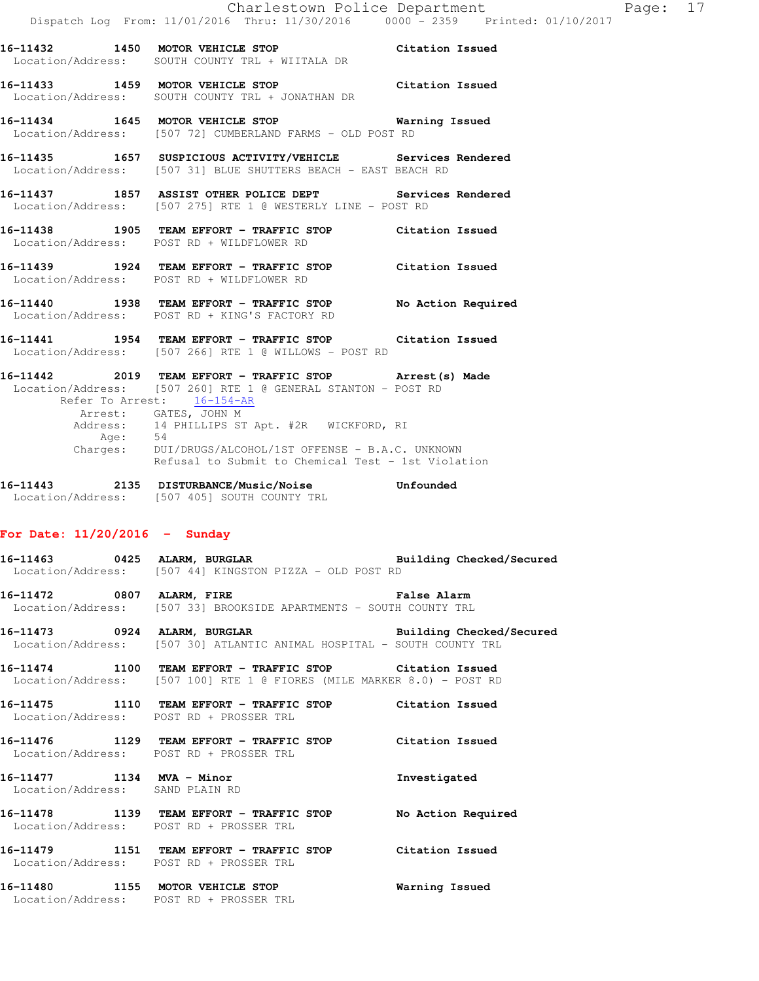|  | Charlestown Police Department                  |                                     |  | Page: 17 |  |
|--|------------------------------------------------|-------------------------------------|--|----------|--|
|  | Dispatch Log From: 11/01/2016 Thru: 11/30/2016 | $0000 - 2359$ Printed: $01/10/2017$ |  |          |  |

| 16-11432<br>Location/Address: | 1450 | MOTOR VEHICLE STOP<br>SOUTH COUNTY TRL + WIITALA DR                             | Citation Issued |  |
|-------------------------------|------|---------------------------------------------------------------------------------|-----------------|--|
| 16–11433<br>Location/Address: | 1459 | MOTOR VEHICLE STOP<br>SOUTH COUNTY TRL + JONATHAN DR                            | Citation Issued |  |
| 16–11434                      | 1645 | MOTOR VEHICLE STOP<br>Location/Address: [507 72] CUMBERLAND FARMS - OLD POST RD | Warning Issued  |  |

**16-11435 1657 SUSPICIOUS ACTIVITY/VEHICLE Services Rendered**  Location/Address: [507 31] BLUE SHUTTERS BEACH - EAST BEACH RD

**16-11437 1857 ASSIST OTHER POLICE DEPT Services Rendered**  Location/Address: [507 275] RTE 1 @ WESTERLY LINE - POST RD

**16-11438 1905 TEAM EFFORT - TRAFFIC STOP Citation Issued**  Location/Address: POST RD + WILDFLOWER RD

**16-11439 1924 TEAM EFFORT - TRAFFIC STOP Citation Issued**  Location/Address: POST RD + WILDFLOWER RD

**16-11440 1938 TEAM EFFORT - TRAFFIC STOP No Action Required**  Location/Address: POST RD + KING'S FACTORY RD

**16-11441 1954 TEAM EFFORT - TRAFFIC STOP Citation Issued**  Location/Address: [507 266] RTE 1 @ WILLOWS - POST RD

**16-11442 2019 TEAM EFFORT - TRAFFIC STOP Arrest(s) Made**  Location/Address: [507 260] RTE 1 @ GENERAL STANTON - POST RD Refer To Arrest: 16-154-AR Arrest: GATES, JOHN M Address: 14 PHILLIPS ST Apt. #2R WICKFORD, RI Age: 54 Charges: DUI/DRUGS/ALCOHOL/1ST OFFENSE - B.A.C. UNKNOWN Refusal to Submit to Chemical Test - 1st Violation

**16-11443 2135 DISTURBANCE/Music/Noise Unfounded**  Location/Address: [507 405] SOUTH COUNTY TRL

#### **For Date: 11/20/2016 - Sunday**

Location/Address: POST RD + PROSSER TRL

**16-11463 0425 ALARM, BURGLAR Building Checked/Secured**  Location/Address: [507 44] KINGSTON PIZZA - OLD POST RD **16-11472 0807 ALARM, FIRE False Alarm** 

Location/Address: [507 33] BROOKSIDE APARTMENTS - SOUTH COUNTY TRL

**16-11473 0924 ALARM, BURGLAR Building Checked/Secured**  Location/Address: [507 30] ATLANTIC ANIMAL HOSPITAL - SOUTH COUNTY TRL

**16-11474 1100 TEAM EFFORT - TRAFFIC STOP Citation Issued**  Location/Address: [507 100] RTE 1 @ FIORES (MILE MARKER 8.0) - POST RD

**16-11475 1110 TEAM EFFORT - TRAFFIC STOP Citation Issued**  Location/Address: POST RD + PROSSER TRL **16-11476 1129 TEAM EFFORT - TRAFFIC STOP Citation Issued**  Location/Address: POST RD + PROSSER TRL **16-11477 1134 MVA - Minor Investigated**  Location/Address: SAND PLAIN RD **16-11478 1139 TEAM EFFORT - TRAFFIC STOP No Action Required**  Location/Address: POST RD + PROSSER TRL **16-11479 1151 TEAM EFFORT - TRAFFIC STOP Citation Issued**  Location/Address: POST RD + PROSSER TRL **16-11480 1155 MOTOR VEHICLE STOP Warning Issued**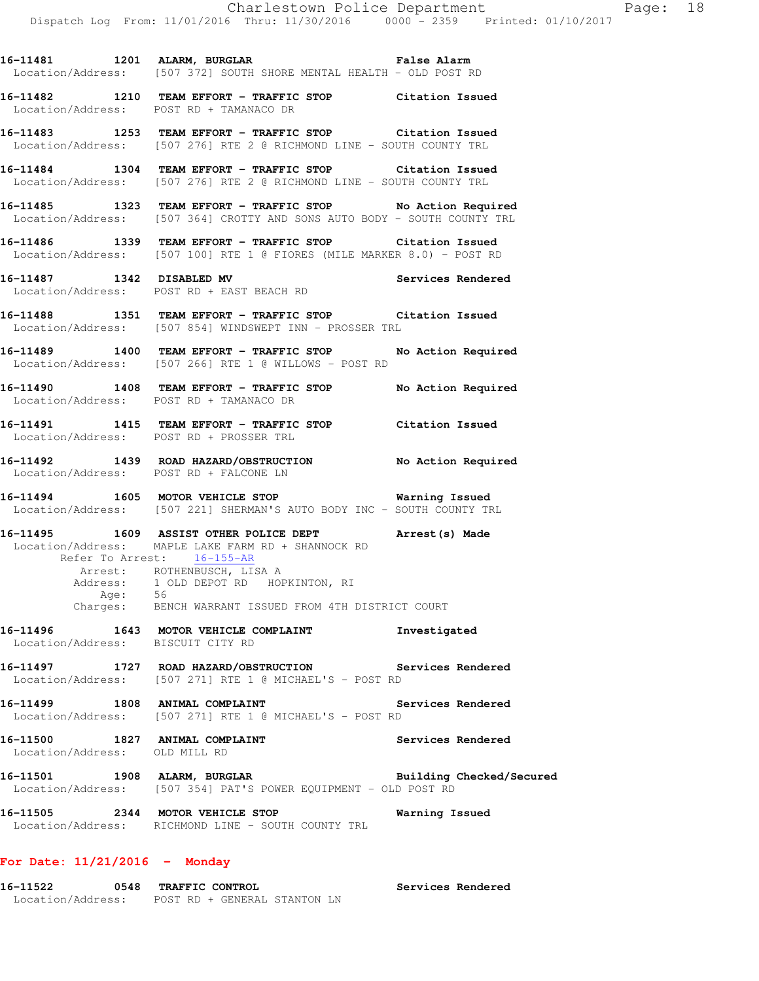**16-11481 1201 ALARM, BURGLAR False Alarm**  Location/Address: [507 372] SOUTH SHORE MENTAL HEALTH - OLD POST RD **16-11482 1210 TEAM EFFORT - TRAFFIC STOP Citation Issued**  Location/Address: POST RD + TAMANACO DR **16-11483 1253 TEAM EFFORT - TRAFFIC STOP Citation Issued**  Location/Address: [507 276] RTE 2 @ RICHMOND LINE - SOUTH COUNTY TRL **16-11484 1304 TEAM EFFORT - TRAFFIC STOP Citation Issued**  Location/Address: [507 276] RTE 2 @ RICHMOND LINE - SOUTH COUNTY TRL **16-11485 1323 TEAM EFFORT - TRAFFIC STOP No Action Required**  Location/Address: [507 364] CROTTY AND SONS AUTO BODY - SOUTH COUNTY TRL **16-11486 1339 TEAM EFFORT - TRAFFIC STOP Citation Issued**  Location/Address: [507 100] RTE 1 @ FIORES (MILE MARKER 8.0) - POST RD **16-11487 1342 DISABLED MV Services Rendered**  Location/Address: POST RD + EAST BEACH RD **16-11488 1351 TEAM EFFORT - TRAFFIC STOP Citation Issued**  Location/Address: [507 854] WINDSWEPT INN - PROSSER TRL **16-11489 1400 TEAM EFFORT - TRAFFIC STOP No Action Required**  Location/Address: [507 266] RTE 1 @ WILLOWS - POST RD **16-11490 1408 TEAM EFFORT - TRAFFIC STOP No Action Required**  Location/Address: POST RD + TAMANACO DR **16-11491 1415 TEAM EFFORT - TRAFFIC STOP Citation Issued**  Location/Address: POST RD + PROSSER TRL **16-11492 1439 ROAD HAZARD/OBSTRUCTION No Action Required**  Location/Address: POST RD + FALCONE LN **16-11494 1605 MOTOR VEHICLE STOP Warning Issued**  Location/Address: [507 221] SHERMAN'S AUTO BODY INC - SOUTH COUNTY TRL **16-11495 1609 ASSIST OTHER POLICE DEPT Arrest(s) Made**  Location/Address: MAPLE LAKE FARM RD + SHANNOCK RD Refer To Arrest: 16-155-AR Arrest: ROTHENBUSCH, LISA A Address: 1 OLD DEPOT RD HOPKINTON, RI Age: 56 Charges: BENCH WARRANT ISSUED FROM 4TH DISTRICT COURT **16-11496 1643 MOTOR VEHICLE COMPLAINT Investigated**  Location/Address: BISCUIT CITY RD **16-11497 1727 ROAD HAZARD/OBSTRUCTION Services Rendered**  Location/Address: [507 271] RTE 1 @ MICHAEL'S - POST RD **16-11499 1808 ANIMAL COMPLAINT Services Rendered**  Location/Address: [507 271] RTE 1 @ MICHAEL'S - POST RD 16-11500 1827 ANIMAL COMPLAINT **16-11500** Services Rendered Location/Address: OLD MILL RD **16-11501 1908 ALARM, BURGLAR Building Checked/Secured**  Location/Address: [507 354] PAT'S POWER EQUIPMENT - OLD POST RD **16-11505 2344 MOTOR VEHICLE STOP Warning Issued**  Location/Address: RICHMOND LINE - SOUTH COUNTY TRL **For Date: 11/21/2016 - Monday 16-11522 0548 TRAFFIC CONTROL Services Rendered** 

Location/Address: POST RD + GENERAL STANTON LN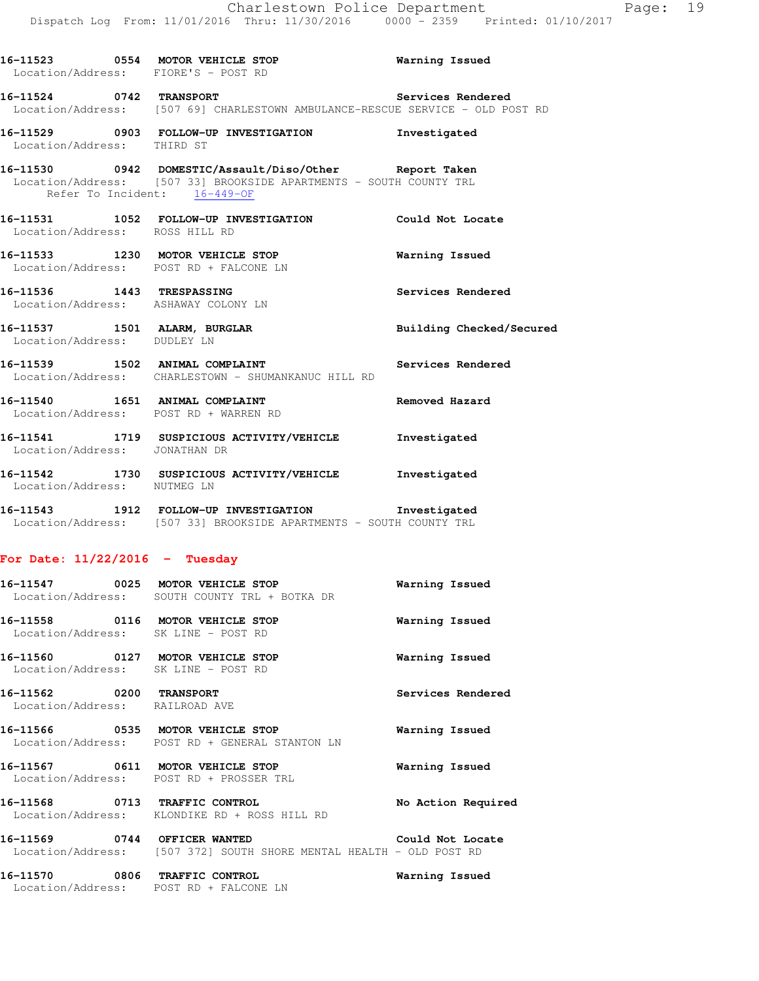| Location/Address: FIORE'S - POST RD                              | 16-11523 0554 MOTOR VEHICLE STOP 6 Warning Issued                                                                            |                          |
|------------------------------------------------------------------|------------------------------------------------------------------------------------------------------------------------------|--------------------------|
|                                                                  | 16-11524 0742 TRANSPORT 3 Services Rendered<br>Location/Address: [507 69] CHARLESTOWN AMBULANCE-RESCUE SERVICE - OLD POST RD |                          |
| Location/Address: THIRD ST                                       | 16-11529 0903 FOLLOW-UP INVESTIGATION Investigated                                                                           |                          |
| Refer To Incident: 16-449-OF                                     | 16-11530 0942 DOMESTIC/Assault/Diso/Other Report Taken<br>Location/Address: [507 33] BROOKSIDE APARTMENTS - SOUTH COUNTY TRL |                          |
| Location/Address: ROSS HILL RD                                   | 16-11531 1052 FOLLOW-UP INVESTIGATION Could Not Locate                                                                       |                          |
|                                                                  | 16-11533 1230 MOTOR VEHICLE STOP <b>Warning Issued</b><br>Location/Address: POST RD + FALCONE LN                             |                          |
| 16-11536 1443 TRESPASSING<br>Location/Address: ASHAWAY COLONY LN |                                                                                                                              | Services Rendered        |
| Location/Address: DUDLEY LN                                      | 16-11537 1501 ALARM, BURGLAR                                                                                                 | Building Checked/Secured |
|                                                                  | 16-11539 1502 ANIMAL COMPLAINT Services Rendered<br>Location/Address: CHARLESTOWN - SHUMANKANUC HILL RD                      |                          |
|                                                                  | 16-11540   1651   ANIMAL COMPLAINT<br>Location/Address: POST RD + WARREN RD                                                  | Removed Hazard           |
| Location/Address: JONATHAN DR                                    | 16-11541 1719 SUSPICIOUS ACTIVITY/VEHICLE Investigated                                                                       |                          |
| Location/Address: NUTMEG LN                                      | 16-11542 1730 SUSPICIOUS ACTIVITY/VEHICLE Investigated                                                                       |                          |

**16-11543 1912 FOLLOW-UP INVESTIGATION Investigated**  Location/Address: [507 33] BROOKSIDE APARTMENTS - SOUTH COUNTY TRL

# **For Date: 11/22/2016 - Tuesday**

|                                                                             | 16-11547 0025 MOTOR VEHICLE STOP<br>Location/Address: SOUTH COUNTY TRL + BOTKA DR | Warning Issued     |
|-----------------------------------------------------------------------------|-----------------------------------------------------------------------------------|--------------------|
| 16-11558 0116 MOTOR VEHICLE STOP<br>Location/Address: SK LINE - POST RD     |                                                                                   | Warning Issued     |
| 16-11560 0127 MOTOR VEHICLE STOP<br>Location/Address: SK LINE - POST RD     |                                                                                   | Warning Issued     |
| 16-11562 0200 TRANSPORT<br>Location/Address: RAILROAD AVE                   |                                                                                   | Services Rendered  |
| 16-11566 0535 MOTOR VEHICLE STOP                                            | Location/Address: POST RD + GENERAL STANTON LN                                    | Warning Issued     |
| 16-11567 0611 MOTOR VEHICLE STOP<br>Location/Address: POST RD + PROSSER TRL |                                                                                   | Warning Issued     |
|                                                                             | 16-11568 0713 TRAFFIC CONTROL<br>Location/Address: KLONDIKE RD + ROSS HILL RD     | No Action Required |
|                                                                             | Location/Address: [507 372] SOUTH SHORE MENTAL HEALTH - OLD POST RD               |                    |
| 16-11570 0806 TRAFFIC CONTROL<br>Location/Address: POST RD + FALCONE LN     |                                                                                   | Warning Issued     |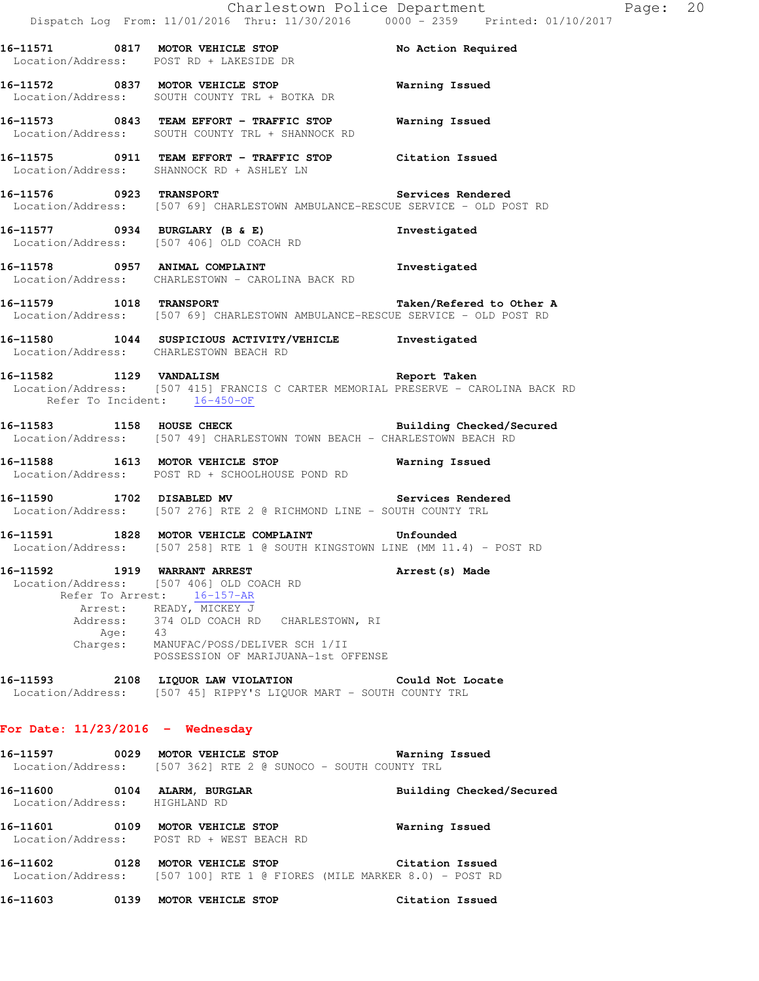|                                    | Dispatch Log From: 11/01/2016 Thru: 11/30/2016 0000 <sup>-</sup> 2359 Printed: 01/10/2017                                                                                                                                                                                  | Charlestown Police Department | Page: 20 |  |
|------------------------------------|----------------------------------------------------------------------------------------------------------------------------------------------------------------------------------------------------------------------------------------------------------------------------|-------------------------------|----------|--|
|                                    | 16-11571 0817 MOTOR VEHICLE STOP No Action Required<br>Location/Address: POST RD + LAKESIDE DR                                                                                                                                                                             |                               |          |  |
|                                    | 16-11572 0837 MOTOR VEHICLE STOP 6 Warning Issued<br>Location/Address: SOUTH COUNTY TRL + BOTKA DR                                                                                                                                                                         |                               |          |  |
|                                    | 16-11573 0843 TEAM EFFORT - TRAFFIC STOP Warning Issued<br>Location/Address: SOUTH COUNTY TRL + SHANNOCK RD                                                                                                                                                                |                               |          |  |
|                                    | 16-11575 0911 TEAM EFFORT - TRAFFIC STOP Citation Issued<br>Location/Address: SHANNOCK RD + ASHLEY LN                                                                                                                                                                      |                               |          |  |
|                                    | 16-11576 0923 TRANSPORT Services Rendered<br>Location/Address: [507 69] CHARLESTOWN AMBULANCE-RESCUE SERVICE - OLD POST RD                                                                                                                                                 |                               |          |  |
|                                    | 16-11577 0934 BURGLARY (B & E)<br>Location/Address: [507 406] OLD COACH RD                                                                                                                                                                                                 | Investigated                  |          |  |
|                                    | 16-11578 0957 ANIMAL COMPLAINT 16-11578 Investigated<br>Location/Address: CHARLESTOWN - CAROLINA BACK RD                                                                                                                                                                   |                               |          |  |
|                                    | 16-11579 1018 TRANSPORT<br>Location/Address: [507 69] CHARLESTOWN AMBULANCE-RESCUE SERVICE - OLD POST RD                                                                                                                                                                   | Taken/Refered to Other A      |          |  |
|                                    | 16-11580 1044 SUSPICIOUS ACTIVITY/VEHICLE Investigated<br>Location/Address: CHARLESTOWN BEACH RD                                                                                                                                                                           |                               |          |  |
|                                    | 16-11582 1129 VANDALISM 16-11582 Report Taken<br>Location/Address: [507 415] FRANCIS C CARTER MEMORIAL PRESERVE - CAROLINA BACK RD<br>Refer To Incident: 16-450-OF                                                                                                         |                               |          |  |
|                                    | 16-11583 1158 HOUSE CHECK<br>Location/Address: [507 49] CHARLESTOWN TOWN BEACH - CHARLESTOWN BEACH RD                                                                                                                                                                      | Building Checked/Secured      |          |  |
|                                    | 16-11588 1613 MOTOR VEHICLE STOP 6 Warning Issued<br>Location/Address: POST RD + SCHOOLHOUSE POND RD                                                                                                                                                                       |                               |          |  |
|                                    | 16-11590 1702 DISABLED MV<br>Location/Address: [507 276] RTE 2 @ RICHMOND LINE - SOUTH COUNTY TRL                                                                                                                                                                          | Services Rendered             |          |  |
|                                    | 16-11591 1828 MOTOR VEHICLE COMPLAINT Unfounded<br>Location/Address: [507 258] RTE 1 @ SOUTH KINGSTOWN LINE (MM 11.4) - POST RD                                                                                                                                            |                               |          |  |
|                                    | 16-11592 1919 WARRANT ARREST<br>Location/Address: [507 406] OLD COACH RD<br>Refer To Arrest: 16-157-AR<br>Arrest: READY, MICKEY J<br>Address: 374 OLD COACH RD CHARLESTOWN, RI<br>Age: 43<br>Charges: MANUFAC/POSS/DELIVER SCH 1/II<br>POSSESSION OF MARIJUANA-1st OFFENSE | Arrest(s) Made                |          |  |
|                                    | 16-11593 2108 LIQUOR LAW VIOLATION Could Not Locate<br>Location/Address: [507 45] RIPPY'S LIQUOR MART - SOUTH COUNTY TRL                                                                                                                                                   |                               |          |  |
| For Date: $11/23/2016$ - Wednesday |                                                                                                                                                                                                                                                                            |                               |          |  |
|                                    | 16-11597 0029 MOTOR VEHICLE STOP 6 Warning Issued<br>Location/Address: [507 362] RTE 2 @ SUNOCO - SOUTH COUNTY TRL                                                                                                                                                         |                               |          |  |
| Location/Address: HIGHLAND RD      | 16-11600 0104 ALARM, BURGLAR                                                                                                                                                                                                                                               | Building Checked/Secured      |          |  |
|                                    | 16-11601 0109 MOTOR VEHICLE STOP<br>Location/Address: POST RD + WEST BEACH RD                                                                                                                                                                                              | <b>Warning Issued</b>         |          |  |
|                                    | 16-11602 0128 MOTOR VEHICLE STOP Citation Issued<br>Location/Address: [507 100] RTE 1 @ FIORES (MILE MARKER 8.0) - POST RD                                                                                                                                                 |                               |          |  |
|                                    | 16-11603 0139 MOTOR VEHICLE STOP                                                                                                                                                                                                                                           | Citation Issued               |          |  |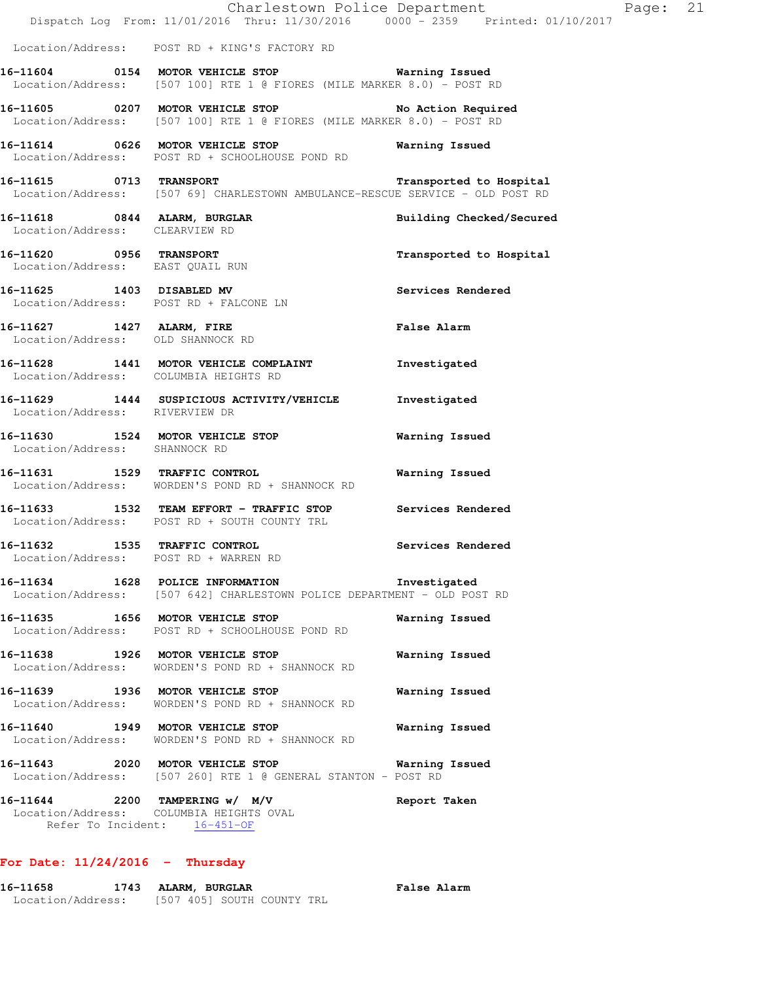|                                                                        | Dispatch Log From: 11/01/2016 Thru: 11/30/2016 0000 - 2359 Printed: 01/10/2017                                                            | Charlestown Police Department | Page: | 21 |
|------------------------------------------------------------------------|-------------------------------------------------------------------------------------------------------------------------------------------|-------------------------------|-------|----|
|                                                                        | Location/Address: POST RD + KING'S FACTORY RD                                                                                             |                               |       |    |
|                                                                        | 16-11604 0154 MOTOR VEHICLE STOP 6 Warning Issued<br>Location/Address: [507 100] RTE 1 @ FIORES (MILE MARKER 8.0) - POST RD               |                               |       |    |
|                                                                        | 16-11605 0207 MOTOR VEHICLE STOP<br>Location/Address: [507 100] RTE 1 @ FIORES (MILE MARKER 8.0) - POST RD                                | No Action Required            |       |    |
|                                                                        | 16-11614 0626 MOTOR VEHICLE STOP<br>Location/Address: POST RD + SCHOOLHOUSE POND RD                                                       | Warning Issued                |       |    |
|                                                                        | 16-11615 0713 TRANSPORT 16-11615 Transported to Hospital<br>Location/Address: [507 69] CHARLESTOWN AMBULANCE-RESCUE SERVICE - OLD POST RD |                               |       |    |
| Location/Address: CLEARVIEW RD                                         | 16-11618 0844 ALARM, BURGLAR                                                                                                              | Building Checked/Secured      |       |    |
| 16-11620 0956 TRANSPORT<br>Location/Address: EAST QUAIL RUN            |                                                                                                                                           | Transported to Hospital       |       |    |
|                                                                        | 16-11625 1403 DISABLED MV<br>Location/Address: POST RD + FALCONE LN                                                                       | Services Rendered             |       |    |
| Location/Address: OLD SHANNOCK RD                                      | 16-11627 1427 ALARM, FIRE                                                                                                                 | <b>False Alarm</b>            |       |    |
| Location/Address: COLUMBIA HEIGHTS RD                                  | 16-11628 1441 MOTOR VEHICLE COMPLAINT 1nvestigated                                                                                        |                               |       |    |
| Location/Address: RIVERVIEW DR                                         | 16-11629 1444 SUSPICIOUS ACTIVITY/VEHICLE                                                                                                 | Investigated                  |       |    |
| Location/Address: SHANNOCK RD                                          | 16-11630 1524 MOTOR VEHICLE STOP                                                                                                          | Warning Issued                |       |    |
|                                                                        | 16-11631 1529 TRAFFIC CONTROL<br>Location/Address: WORDEN'S POND RD + SHANNOCK RD                                                         | Warning Issued                |       |    |
|                                                                        | 16-11633 1532 TEAM EFFORT - TRAFFIC STOP<br>Location/Address: POST RD + SOUTH COUNTY TRL                                                  | Services Rendered             |       |    |
| 16-11632 1535 TRAFFIC CONTROL<br>Location/Address: POST RD + WARREN RD |                                                                                                                                           | Services Rendered             |       |    |
|                                                                        | 16-11634 1628 POLICE INFORMATION<br>Location/Address: [507 642] CHARLESTOWN POLICE DEPARTMENT - OLD POST RD                               | Investigated                  |       |    |
|                                                                        | 16-11635 1656 MOTOR VEHICLE STOP<br>Location/Address: POST RD + SCHOOLHOUSE POND RD                                                       | Warning Issued                |       |    |
| 16-11638 1926 MOTOR VEHICLE STOP                                       | Location/Address: WORDEN'S POND RD + SHANNOCK RD                                                                                          | Warning Issued                |       |    |
|                                                                        | 16-11639 1936 MOTOR VEHICLE STOP<br>Location/Address: WORDEN'S POND RD + SHANNOCK RD                                                      | Warning Issued                |       |    |
| 16-11640 1949 MOTOR VEHICLE STOP                                       | Location/Address: WORDEN'S POND RD + SHANNOCK RD                                                                                          | Warning Issued                |       |    |
|                                                                        | 16-11643 2020 MOTOR VEHICLE STOP<br>Location/Address: [507 260] RTE 1 @ GENERAL STANTON - POST RD                                         | Warning Issued                |       |    |
| 16-11644 2200 TAMPERING w/ M/V                                         | Location/Address: COLUMBIA HEIGHTS OVAL<br>Refer To Incident: 16-451-OF                                                                   | Report Taken                  |       |    |

# **For Date: 11/24/2016 - Thursday**

| 16-11658          | 1743 ALARM, BURGLAR        | <b>False Alarm</b> |
|-------------------|----------------------------|--------------------|
| Location/Address: | [507 405] SOUTH COUNTY TRL |                    |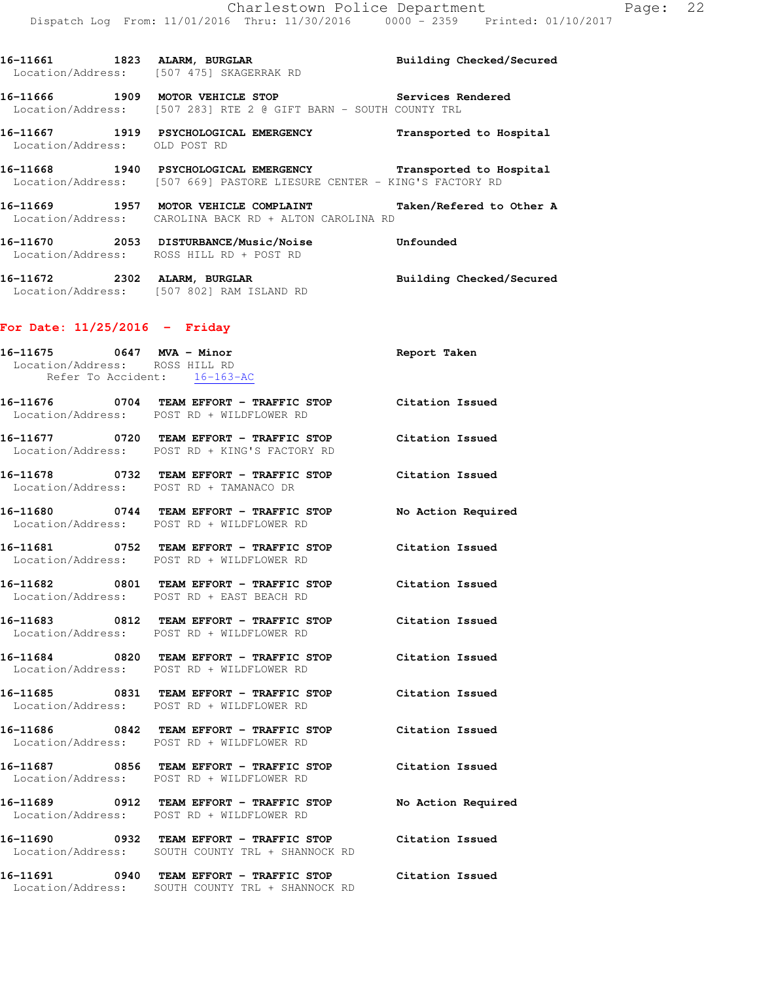16-11661 1823 ALARM, BURGLAR **Building Checked/Secured**  Location/Address: [507 475] SKAGERRAK RD **16-11666 1909 MOTOR VEHICLE STOP Services Rendered**  Location/Address: [507 283] RTE 2 @ GIFT BARN - SOUTH COUNTY TRL **16-11667 1919 PSYCHOLOGICAL EMERGENCY Transported to Hospital** 

Location/Address: OLD POST RD

**16-11668 1940 PSYCHOLOGICAL EMERGENCY Transported to Hospital**  Location/Address: [507 669] PASTORE LIESURE CENTER - KING'S FACTORY RD

**16-11669 1957 MOTOR VEHICLE COMPLAINT Taken/Refered to Other A**  Location/Address: CAROLINA BACK RD + ALTON CAROLINA RD

**16-11670 2053 DISTURBANCE/Music/Noise Unfounded**  Location/Address: ROSS HILL RD + POST RD **16-11672 2302 ALARM, BURGLAR Building Checked/Secured** 

Location/Address: [507 802] RAM ISLAND RD

## **For Date: 11/25/2016 - Friday**

| 16-11675 0647 MVA - Minor<br>Location/Address: ROSS HILL RD | Refer To Accident: 16-163-AC                                                                                   | Report Taken |
|-------------------------------------------------------------|----------------------------------------------------------------------------------------------------------------|--------------|
|                                                             | Location/Address: POST RD + WILDFLOWER RD                                                                      |              |
|                                                             | 16-11677 0720 TEAM EFFORT - TRAFFIC STOP Citation Issued<br>Location/Address: POST RD + KING'S FACTORY RD      |              |
|                                                             | 16-11678   0732   TEAM EFFORT - TRAFFIC STOP   Citation Issued<br>Location/Address:   POST RD + TAMANACO DR    |              |
|                                                             | 16-11680 0744 TEAM EFFORT - TRAFFIC STOP No Action Required<br>Location/Address: POST RD + WILDFLOWER RD       |              |
|                                                             | 16-11681   0752   TEAM EFFORT - TRAFFIC STOP   Citation Issued<br>Location/Address:   POST RD + WILDFLOWER RD  |              |
|                                                             | 16-11682 0801 TEAM EFFORT - TRAFFIC STOP Citation Issued<br>Location/Address: POST RD + EAST BEACH RD          |              |
|                                                             | 16-11683 6812 TEAM EFFORT - TRAFFIC STOP Citation Issued<br>Location/Address: POST RD + WILDFLOWER RD          |              |
|                                                             | 16-11684 0820 TEAM EFFORT - TRAFFIC STOP Citation Issued<br>Location/Address: POST RD + WILDFLOWER RD          |              |
|                                                             | 16-11685 0831 TEAM EFFORT - TRAFFIC STOP Citation Issued<br>Location/Address: POST RD + WILDFLOWER RD          |              |
|                                                             | 16-11686 0842 TEAM EFFORT - TRAFFIC STOP Citation Issued<br>Location/Address: POST RD + WILDFLOWER RD          |              |
|                                                             | 16-11687 0856 TEAM EFFORT - TRAFFIC STOP Citation Issued<br>Location/Address: POST RD + WILDFLOWER RD          |              |
|                                                             | 16-11689 0912 TEAM EFFORT - TRAFFIC STOP No Action Required<br>Location/Address: POST RD + WILDFLOWER RD       |              |
|                                                             | 16-11690 0932 TEAM EFFORT - TRAFFIC STOP Citation Issued<br>Location/Address: SOUTH COUNTY TRL + SHANNOCK RD   |              |
|                                                             | 16-11691  0940 TEAM EFFORT - TRAFFIC STOP  Citation Issued<br>Location/Address: SOUTH COUNTY TRL + SHANNOCK RD |              |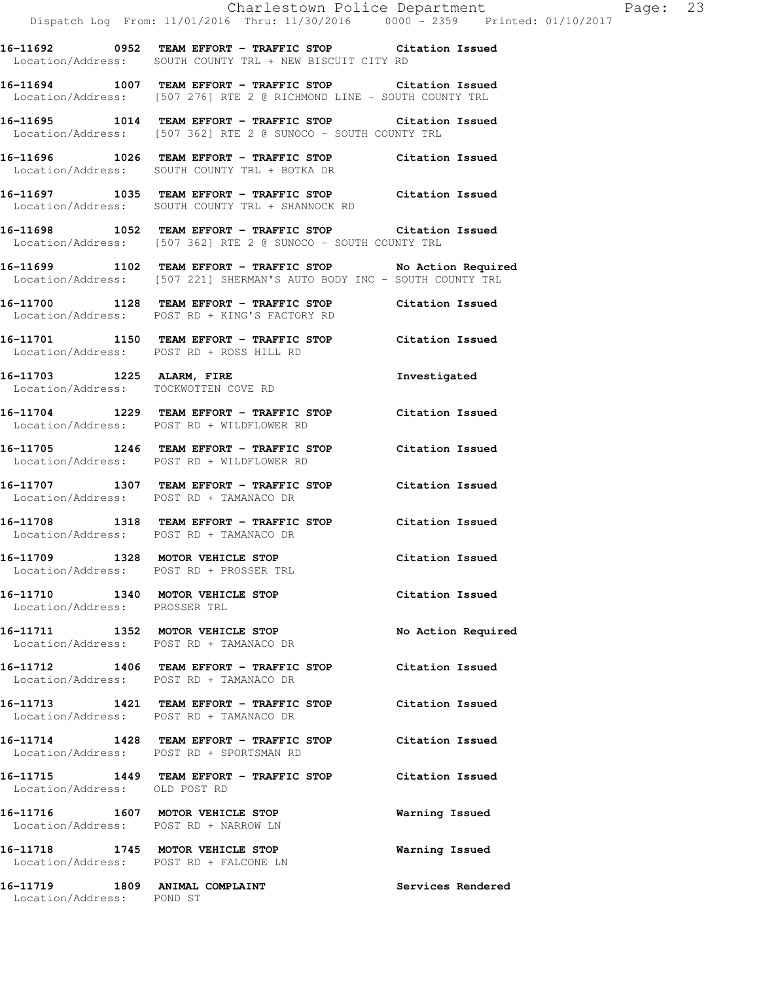**16-11692 0952 TEAM EFFORT - TRAFFIC STOP Citation Issued**  Location/Address: SOUTH COUNTY TRL + NEW BISCUIT CITY RD

**16-11694 1007 TEAM EFFORT - TRAFFIC STOP Citation Issued**  Location/Address: [507 276] RTE 2 @ RICHMOND LINE - SOUTH COUNTY TRL

**16-11695 1014 TEAM EFFORT - TRAFFIC STOP Citation Issued**  Location/Address: [507 362] RTE 2 @ SUNOCO - SOUTH COUNTY TRL

**16-11696 1026 TEAM EFFORT - TRAFFIC STOP Citation Issued**  Location/Address: SOUTH COUNTY TRL + BOTKA DR

**16-11697 1035 TEAM EFFORT - TRAFFIC STOP Citation Issued**  Location/Address: SOUTH COUNTY TRL + SHANNOCK RD

**16-11698 1052 TEAM EFFORT - TRAFFIC STOP Citation Issued**  Location/Address: [507 362] RTE 2 @ SUNOCO - SOUTH COUNTY TRL

**16-11699 1102 TEAM EFFORT - TRAFFIC STOP No Action Required**  Location/Address: [507 221] SHERMAN'S AUTO BODY INC - SOUTH COUNTY TRL

**16-11700 1128 TEAM EFFORT - TRAFFIC STOP Citation Issued**  Location/Address: POST RD + KING'S FACTORY RD

**16-11701 1150 TEAM EFFORT - TRAFFIC STOP Citation Issued**  Location/Address: POST RD + ROSS HILL RD

**16-11703 1225 ALARM, FIRE Investigated**  Location/Address: TOCKWOTTEN COVE RD

**16-11704 1229 TEAM EFFORT - TRAFFIC STOP Citation Issued**  Location/Address: POST RD + WILDFLOWER RD

**16-11705 1246 TEAM EFFORT - TRAFFIC STOP Citation Issued**  Location/Address: POST RD + WILDFLOWER RD

**16-11707 1307 TEAM EFFORT - TRAFFIC STOP Citation Issued**  Location/Address: POST RD + TAMANACO DR

**16-11708 1318 TEAM EFFORT - TRAFFIC STOP Citation Issued**  Location/Address: POST RD + TAMANACO DR

**16-11709 1328 MOTOR VEHICLE STOP Citation Issued**  Location/Address: POST RD + PROSSER TRL

**16-11710 1340 MOTOR VEHICLE STOP Citation Issued**  Location/Address: PROSSER TRL

**16-11711 1352 MOTOR VEHICLE STOP No Action Required**  Location/Address: POST RD + TAMANACO DR

**16-11712 1406 TEAM EFFORT - TRAFFIC STOP Citation Issued**  Location/Address: POST RD + TAMANACO DR

**16-11713 1421 TEAM EFFORT - TRAFFIC STOP Citation Issued**  Location/Address: POST RD + TAMANACO DR

**16-11714 1428 TEAM EFFORT - TRAFFIC STOP Citation Issued**  Location/Address: POST RD + SPORTSMAN RD

**16-11715 1449 TEAM EFFORT - TRAFFIC STOP Citation Issued**  Location/Address: OLD POST RD

**16-11716 1607 MOTOR VEHICLE STOP Warning Issued**  Location/Address: POST RD + NARROW LN

**16-11718 1745 MOTOR VEHICLE STOP Warning Issued**  Location/Address: POST RD + FALCONE LN

16-11719 1809 ANIMAL COMPLAINT **1809 In the Services Rendered** Location/Address: POND ST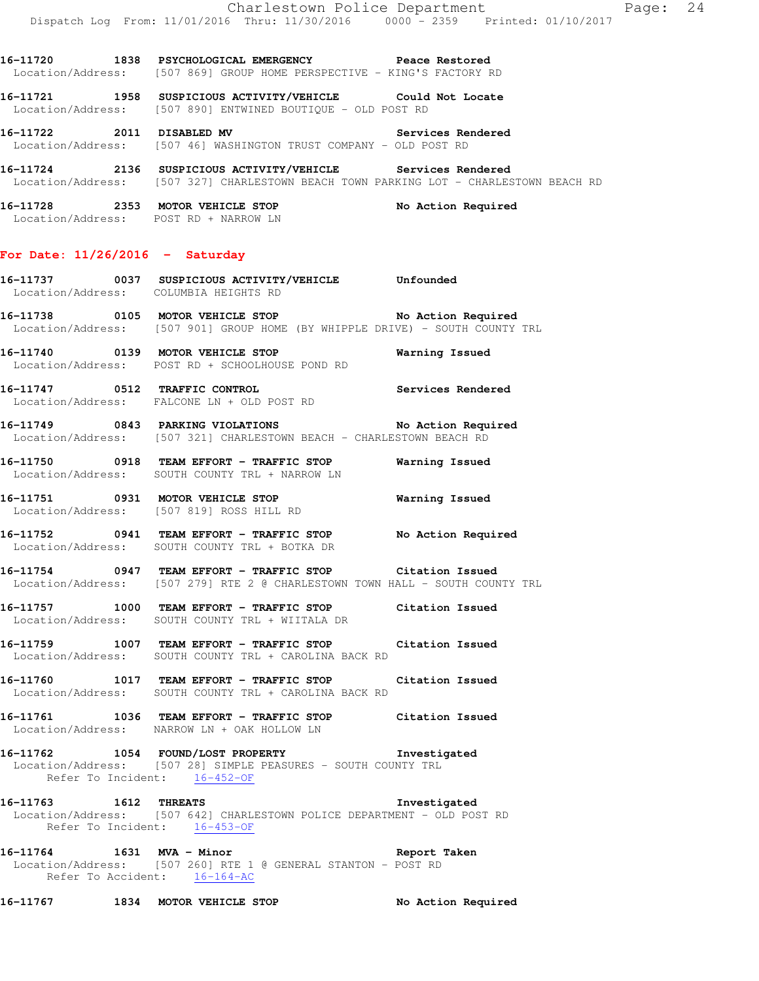**16-11720 1838 PSYCHOLOGICAL EMERGENCY Peace Restored**  Location/Address: [507 869] GROUP HOME PERSPECTIVE - KING'S FACTORY RD

**16-11721 1958 SUSPICIOUS ACTIVITY/VEHICLE Could Not Locate**  Location/Address: [507 890] ENTWINED BOUTIQUE - OLD POST RD

**16-11722 2011 DISABLED MV Services Rendered**  Location/Address: [507 46] WASHINGTON TRUST COMPANY - OLD POST RD

**16-11724 2136 SUSPICIOUS ACTIVITY/VEHICLE Services Rendered**  Location/Address: [507 327] CHARLESTOWN BEACH TOWN PARKING LOT - CHARLESTOWN BEACH RD

**16-11728 2353 MOTOR VEHICLE STOP No Action Required**  Location/Address: POST RD + NARROW LN

## **For Date: 11/26/2016 - Saturday**

- **16-11737 0037 SUSPICIOUS ACTIVITY/VEHICLE Unfounded**  Location/Address: COLUMBIA HEIGHTS RD
- **16-11738 0105 MOTOR VEHICLE STOP No Action Required**  Location/Address: [507 901] GROUP HOME (BY WHIPPLE DRIVE) - SOUTH COUNTY TRL
- **16-11740 0139 MOTOR VEHICLE STOP Warning Issued**  Location/Address: POST RD + SCHOOLHOUSE POND RD
- **16-11747 0512 TRAFFIC CONTROL Services Rendered**  Location/Address: FALCONE LN + OLD POST RD
- **16-11749 0843 PARKING VIOLATIONS No Action Required**  Location/Address: [507 321] CHARLESTOWN BEACH - CHARLESTOWN BEACH RD
- **16-11750 0918 TEAM EFFORT TRAFFIC STOP Warning Issued**  Location/Address: SOUTH COUNTY TRL + NARROW LN
- **16-11751 0931 MOTOR VEHICLE STOP Warning Issued**  Location/Address: [507 819] ROSS HILL RD
- **16-11752 0941 TEAM EFFORT TRAFFIC STOP No Action Required**  Location/Address: SOUTH COUNTY TRL + BOTKA DR
- **16-11754 0947 TEAM EFFORT TRAFFIC STOP Citation Issued**  Location/Address: [507 279] RTE 2 @ CHARLESTOWN TOWN HALL - SOUTH COUNTY TRL
- **16-11757 1000 TEAM EFFORT TRAFFIC STOP Citation Issued**  Location/Address: SOUTH COUNTY TRL + WIITALA DR
- **16-11759 1007 TEAM EFFORT TRAFFIC STOP Citation Issued**  Location/Address: SOUTH COUNTY TRL + CAROLINA BACK RD
- **16-11760 1017 TEAM EFFORT TRAFFIC STOP Citation Issued**  Location/Address: SOUTH COUNTY TRL + CAROLINA BACK RD
- **16-11761 1036 TEAM EFFORT TRAFFIC STOP Citation Issued**  Location/Address: NARROW LN + OAK HOLLOW LN
- **16-11762 1054 FOUND/LOST PROPERTY Investigated**  Location/Address: [507 28] SIMPLE PEASURES - SOUTH COUNTY TRL Refer To Incident: 16-452-OF
- **16-11763 1612 THREATS Investigated**  Location/Address: [507 642] CHARLESTOWN POLICE DEPARTMENT - OLD POST RD Refer To Incident: 16-453-OF
- **16-11764 1631 MVA Minor Report Taken**  Location/Address: [507 260] RTE 1 @ GENERAL STANTON - POST RD Refer To Accident: 16-164-AC

**16-11767 1834 MOTOR VEHICLE STOP No Action Required**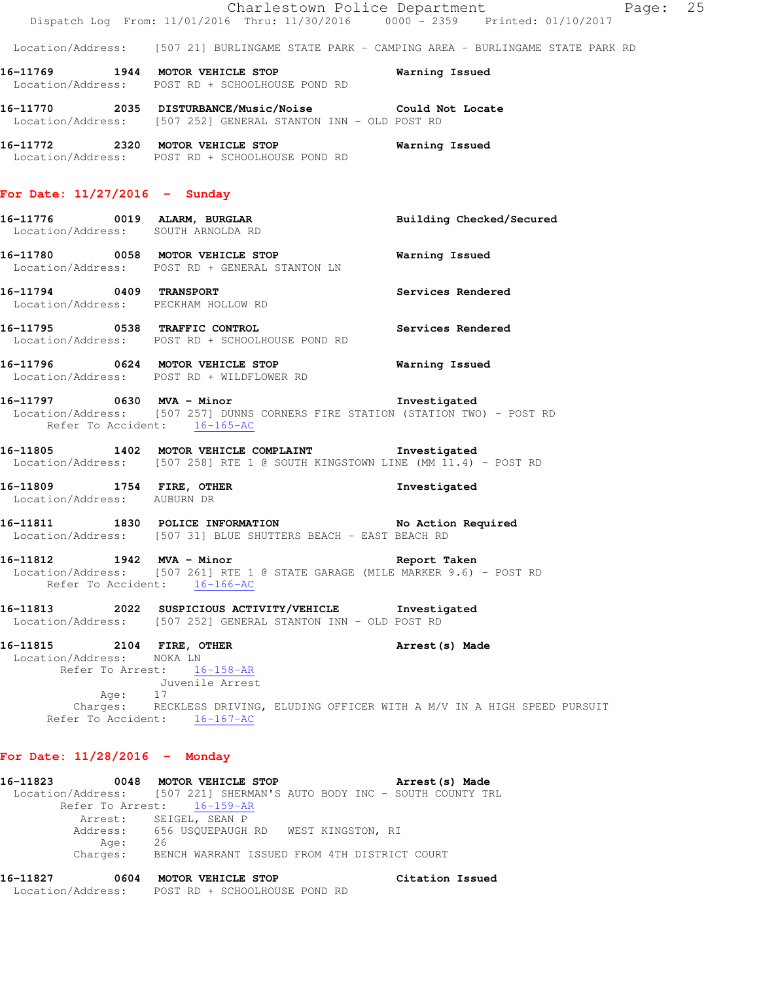|                             |         |                                                                                                                                                                                                                                    | Charlestown Police Department<br>Page: 25<br>Dispatch Log From: 11/01/2016 Thru: 11/30/2016 0000 - 2359 Printed: 01/10/2017 |  |
|-----------------------------|---------|------------------------------------------------------------------------------------------------------------------------------------------------------------------------------------------------------------------------------------|-----------------------------------------------------------------------------------------------------------------------------|--|
|                             |         |                                                                                                                                                                                                                                    | Location/Address: [507 21] BURLINGAME STATE PARK - CAMPING AREA - BURLINGAME STATE PARK RD                                  |  |
|                             |         | 16-11769 1944 MOTOR VEHICLE STOP 6 Warning Issued<br>Location/Address: POST RD + SCHOOLHOUSE POND RD                                                                                                                               |                                                                                                                             |  |
|                             |         | 16-11770  2035  DISTURBANCE/Music/Noise  Could Not Locate  Location/Address: [507 252] GENERAL STANTON INN - OLD POST RD                                                                                                           |                                                                                                                             |  |
|                             |         | 16-11772 2320 MOTOR VEHICLE STOP 6 Warning Issued<br>Location/Address: POST RD + SCHOOLHOUSE POND RD                                                                                                                               |                                                                                                                             |  |
|                             |         | For Date: $11/27/2016$ - Sunday                                                                                                                                                                                                    |                                                                                                                             |  |
|                             |         | 16-11776 0019 ALARM, BURGLAR BURGER Building Checked/Secured<br>Location/Address: SOUTH ARNOLDA RD                                                                                                                                 |                                                                                                                             |  |
|                             |         | 16-11780 0058 MOTOR VEHICLE STOP<br>Location/Address: POST RD + GENERAL STANTON LN                                                                                                                                                 | Warning Issued                                                                                                              |  |
|                             |         | 16-11794 0409 TRANSPORT<br>Location/Address: PECKHAM HOLLOW RD                                                                                                                                                                     | Services Rendered                                                                                                           |  |
|                             |         | 16-11795 0538 TRAFFIC CONTROL<br>Location/Address: POST RD + SCHOOLHOUSE POND RD                                                                                                                                                   | Services Rendered                                                                                                           |  |
|                             |         | 16-11796 0624 MOTOR VEHICLE STOP 60 Warning Issued<br>Location/Address: POST RD + WILDFLOWER RD                                                                                                                                    |                                                                                                                             |  |
|                             |         | 16-11797 0630 MVA - Minor and Superior and Superior and Superior and Superior and Superior and Superior and Su<br>Location/Address: [507 257] DUNNS CORNERS FIRE STATION (STATION TWO) - POST RD<br>Refer To Accident: $16-165-AC$ |                                                                                                                             |  |
|                             |         | 16-11805 1402 MOTOR VEHICLE COMPLAINT 1nvestigated<br>Location/Address: [507 258] RTE 1 @ SOUTH KINGSTOWN LINE (MM 11.4) - POST RD                                                                                                 |                                                                                                                             |  |
| Location/Address: AUBURN DR |         | 16-11809 1754 FIRE, OTHER                                                                                                                                                                                                          | Investigated                                                                                                                |  |
|                             |         | 16-11811 1830 POLICE INFORMATION No Action Required<br>Location/Address: [507 31] BLUE SHUTTERS BEACH - EAST BEACH RD                                                                                                              |                                                                                                                             |  |
|                             |         | 16-11812 1942 MVA - Minor<br>Location/Address: [507 261] RTE 1 @ STATE GARAGE (MILE MARKER 9.6) - POST RD<br>Refer To Accident: 16-166-AC                                                                                          | Report Taken                                                                                                                |  |
|                             |         | 16-11813 2022 SUSPICIOUS ACTIVITY/VEHICLE Investigated<br>Location/Address: [507 252] GENERAL STANTON INN - OLD POST RD                                                                                                            |                                                                                                                             |  |
| Location/Address:           |         | 16-11815 2104 FIRE, OTHER<br>NOKA LN<br>Refer To Arrest: 16-158-AR<br>Juvenile Arrest                                                                                                                                              | Arrest (s) Made                                                                                                             |  |
|                             | Age: 17 | Charges: RECKLESS DRIVING, ELUDING OFFICER WITH A M/V IN A HIGH SPEED PURSUIT<br>Refer To Accident: 16-167-AC                                                                                                                      |                                                                                                                             |  |
|                             |         | For Date: $11/28/2016$ - Monday                                                                                                                                                                                                    |                                                                                                                             |  |

**16-11823 0048 MOTOR VEHICLE STOP Arrest(s) Made**  Location/Address: [507 221] SHERMAN'S AUTO BODY INC - SOUTH COUNTY TRL Refer To Arrest: 16-159-AR Arrest: SEIGEL, SEAN P Address: 656 USQUEPAUGH RD WEST KINGSTON, RI Age: 26 Charges: BENCH WARRANT ISSUED FROM 4TH DISTRICT COURT

**16-11827 0604 MOTOR VEHICLE STOP Citation Issued**  Location/Address: POST RD + SCHOOLHOUSE POND RD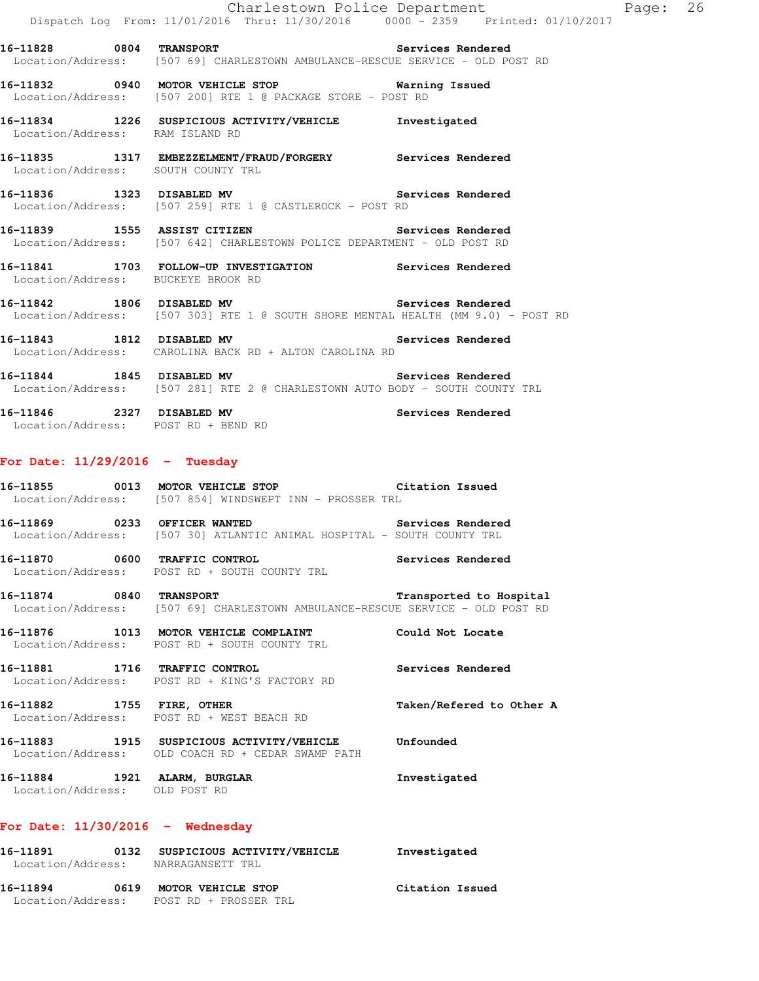|                                    | Dispatch Log From: 11/01/2016 Thru: 11/30/2016 0000 - 2359 Printed: 01/10/2017                                                       | Charlestown Police Department | Page: 26 |  |
|------------------------------------|--------------------------------------------------------------------------------------------------------------------------------------|-------------------------------|----------|--|
|                                    | 16-11828 0804 TRANSPORT 2008 2012 Services Rendered<br>Location/Address: [507 69] CHARLESTOWN AMBULANCE-RESCUE SERVICE - OLD POST RD |                               |          |  |
|                                    | 16-11832 0940 MOTOR VEHICLE STOP 6 Warning Issued<br>Location/Address: [507 200] RTE 1 @ PACKAGE STORE - POST RD                     |                               |          |  |
| Location/Address: RAM ISLAND RD    | 16-11834 1226 SUSPICIOUS ACTIVITY/VEHICLE Investigated                                                                               |                               |          |  |
| Location/Address: SOUTH COUNTY TRL | 16-11835 1317 EMBEZZELMENT/FRAUD/FORGERY Services Rendered                                                                           |                               |          |  |
|                                    | 16-11836 1323 DISABLED MV Services Rendered<br>Location/Address: [507 259] RTE 1 @ CASTLEROCK - POST RD                              |                               |          |  |
|                                    | 16-11839 1555 ASSIST CITIZEN Services Rendered<br>Location/Address: [507 642] CHARLESTOWN POLICE DEPARTMENT - OLD POST RD            |                               |          |  |
| Location/Address: BUCKEYE BROOK RD | 16-11841 1703 FOLLOW-UP INVESTIGATION Services Rendered                                                                              |                               |          |  |
|                                    | 16-11842 1806 DISABLED MV Services Rendered<br>  Location/Address: [507 303] RTE 1 @ SOUTH SHORE MENTAL HEALTH (MM 9.0) - POST RD    |                               |          |  |
|                                    | 16-11843 1812 DISABLED MV Services Rendered<br>Location/Address: CAROLINA BACK RD + ALTON CAROLINA RD                                |                               |          |  |
|                                    | 16-11844 1845 DISABLED MV Services Rendered<br>Location/Address: [507 281] RTE 2 @ CHARLESTOWN AUTO BODY - SOUTH COUNTY TRL          |                               |          |  |

**16-11846 2327 DISABLED MV Services Rendered**  Location/Address: POST RD + BEND RD

## **For Date: 11/29/2016 - Tuesday**

| 16–11855          | 0013 |  | MOTOR VEHICLE STOP                    |  | Citation Issued |  |
|-------------------|------|--|---------------------------------------|--|-----------------|--|
| Location/Address: |      |  | [507 854] WINDSWEPT INN - PROSSER TRL |  |                 |  |

**16-11869 0233 OFFICER WANTED Services Rendered**  Location/Address: [507 30] ATLANTIC ANIMAL HOSPITAL - SOUTH COUNTY TRL

**16-11870 0600 TRAFFIC CONTROL Services Rendered**  Location/Address: POST RD + SOUTH COUNTY TRL

**16-11874 0840 TRANSPORT Transported to Hospital**  Location/Address: [507 69] CHARLESTOWN AMBULANCE-RESCUE SERVICE - OLD POST RD

**16-11876 1013 MOTOR VEHICLE COMPLAINT Could Not Locate**  Location/Address: POST RD + SOUTH COUNTY TRL

**16-11881 1716 TRAFFIC CONTROL Services Rendered**  Location/Address: POST RD + KING'S FACTORY RD

**16-11882 1755 FIRE, OTHER Taken/Refered to Other A**  Location/Address: POST RD + WEST BEACH RD

**16-11883 1915 SUSPICIOUS ACTIVITY/VEHICLE Unfounded**  Location/Address: OLD COACH RD + CEDAR SWAMP PATH

**16-11884 1921 ALARM, BURGLAR Investigated**  Location/Address: OLD POST RD

#### **For Date: 11/30/2016 - Wednesday**

| 16–11891          | 0132 | SUSPICIOUS ACTIVITY/VEHICLE | Investigated    |
|-------------------|------|-----------------------------|-----------------|
| Location/Address: |      | NARRAGANSETT TRI.           |                 |
| 16-11894          | 0619 | MOTOR VEHICLE STOP          | Citation Issued |
| Location/Address: |      | POST RD + PROSSER TRL       |                 |